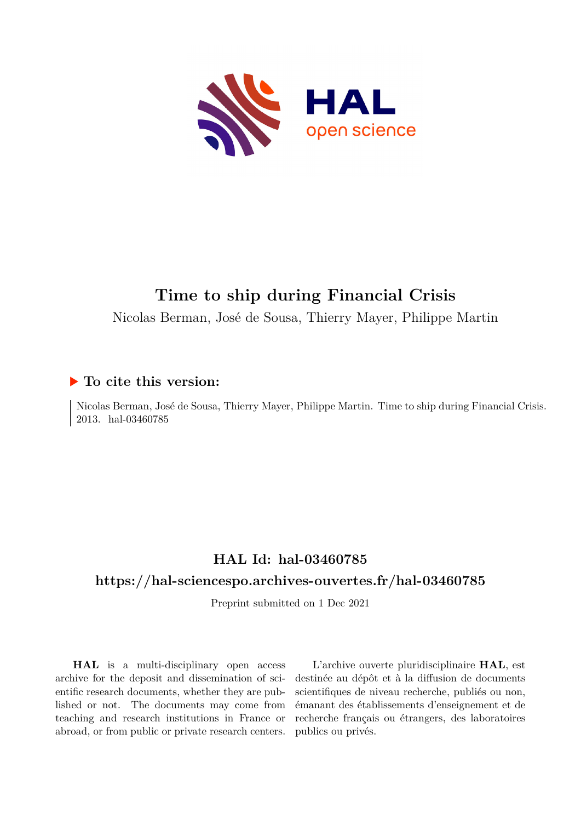

## **Time to ship during Financial Crisis**

Nicolas Berman, José de Sousa, Thierry Mayer, Philippe Martin

#### **To cite this version:**

Nicolas Berman, José de Sousa, Thierry Mayer, Philippe Martin. Time to ship during Financial Crisis. 2013. hal-03460785

## **HAL Id: hal-03460785**

#### **<https://hal-sciencespo.archives-ouvertes.fr/hal-03460785>**

Preprint submitted on 1 Dec 2021

**HAL** is a multi-disciplinary open access archive for the deposit and dissemination of scientific research documents, whether they are published or not. The documents may come from teaching and research institutions in France or abroad, or from public or private research centers.

L'archive ouverte pluridisciplinaire **HAL**, est destinée au dépôt et à la diffusion de documents scientifiques de niveau recherche, publiés ou non, émanant des établissements d'enseignement et de recherche français ou étrangers, des laboratoires publics ou privés.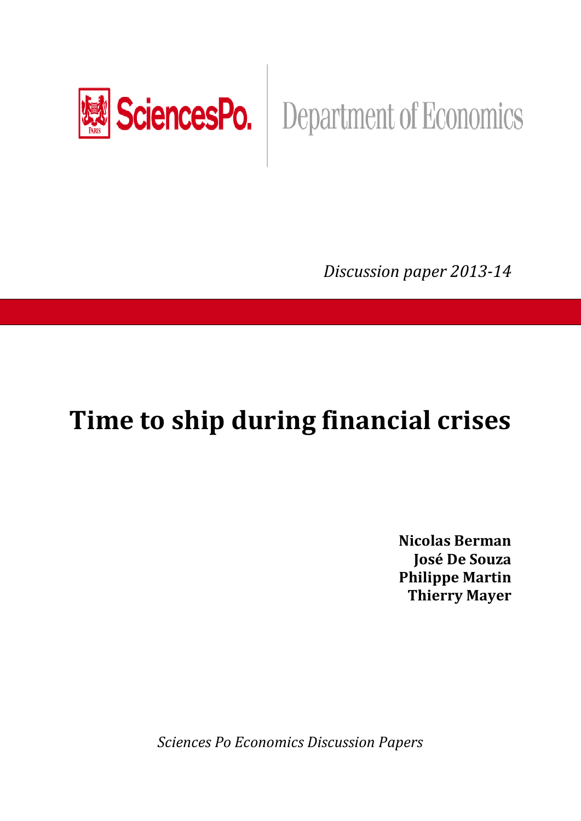

# SciencesPo. | Department of Economics

*Discussion paper 2013-14* 

## **Time to ship during financial crises**

**Nicolas Berman José De Souza Philippe Martin Thierry Mayer** 

*Sciences Po Economics Discussion Papers*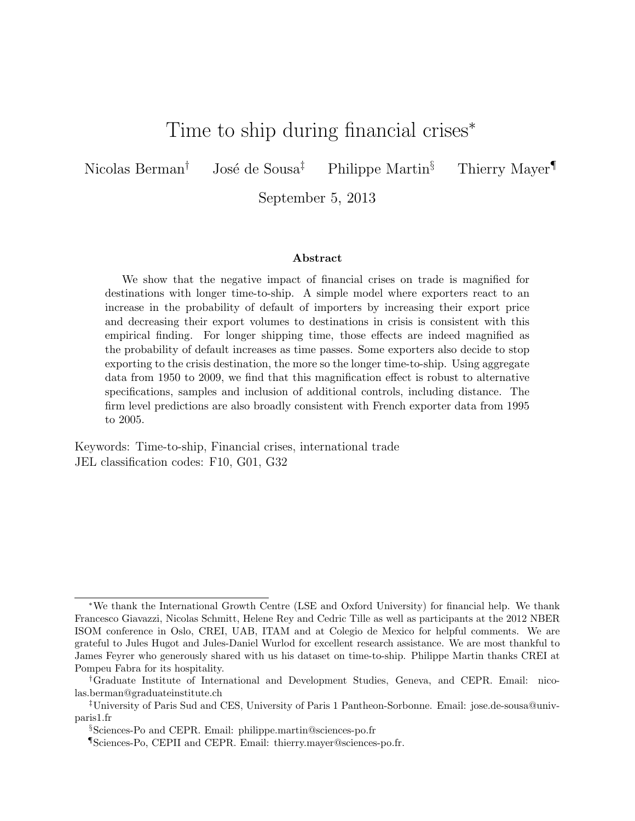## Time to ship during financial crises<sup>∗</sup>

Nicolas Berman<sup>†</sup> José de Sousa<sup>‡</sup> Philippe Martin<sup>§</sup> Thierry Mayer<sup>¶</sup>

September 5, 2013

#### Abstract

We show that the negative impact of financial crises on trade is magnified for destinations with longer time-to-ship. A simple model where exporters react to an increase in the probability of default of importers by increasing their export price and decreasing their export volumes to destinations in crisis is consistent with this empirical finding. For longer shipping time, those effects are indeed magnified as the probability of default increases as time passes. Some exporters also decide to stop exporting to the crisis destination, the more so the longer time-to-ship. Using aggregate data from 1950 to 2009, we find that this magnification effect is robust to alternative specifications, samples and inclusion of additional controls, including distance. The firm level predictions are also broadly consistent with French exporter data from 1995 to 2005.

Keywords: Time-to-ship, Financial crises, international trade JEL classification codes: F10, G01, G32

<sup>∗</sup>We thank the International Growth Centre (LSE and Oxford University) for financial help. We thank Francesco Giavazzi, Nicolas Schmitt, Helene Rey and Cedric Tille as well as participants at the 2012 NBER ISOM conference in Oslo, CREI, UAB, ITAM and at Colegio de Mexico for helpful comments. We are grateful to Jules Hugot and Jules-Daniel Wurlod for excellent research assistance. We are most thankful to James Feyrer who generously shared with us his dataset on time-to-ship. Philippe Martin thanks CREI at Pompeu Fabra for its hospitality.

<sup>†</sup>Graduate Institute of International and Development Studies, Geneva, and CEPR. Email: nicolas.berman@graduateinstitute.ch

<sup>‡</sup>University of Paris Sud and CES, University of Paris 1 Pantheon-Sorbonne. Email: jose.de-sousa@univparis1.fr

<sup>§</sup>Sciences-Po and CEPR. Email: philippe.martin@sciences-po.fr

<sup>¶</sup>Sciences-Po, CEPII and CEPR. Email: thierry.mayer@sciences-po.fr.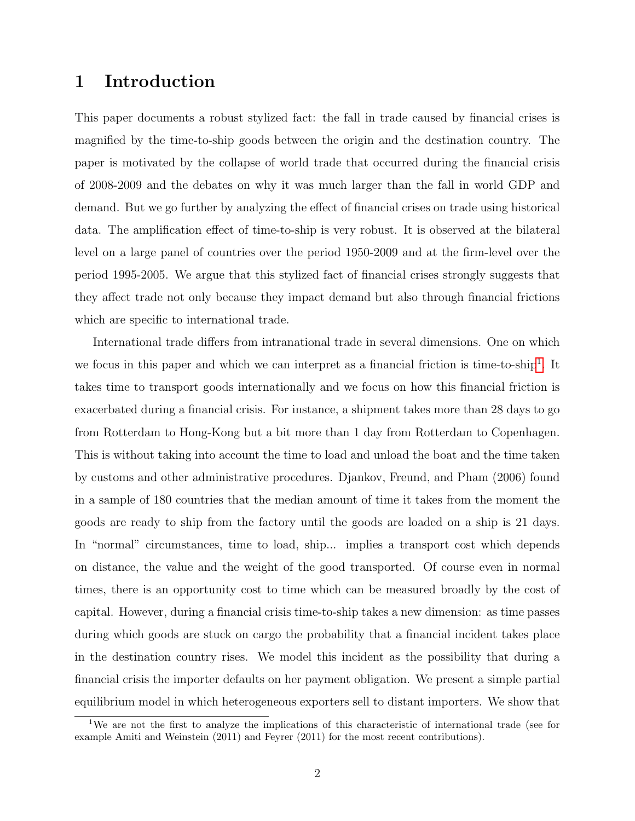#### 1 Introduction

This paper documents a robust stylized fact: the fall in trade caused by financial crises is magnified by the time-to-ship goods between the origin and the destination country. The paper is motivated by the collapse of world trade that occurred during the financial crisis of 2008-2009 and the debates on why it was much larger than the fall in world GDP and demand. But we go further by analyzing the effect of financial crises on trade using historical data. The amplification effect of time-to-ship is very robust. It is observed at the bilateral level on a large panel of countries over the period 1950-2009 and at the firm-level over the period 1995-2005. We argue that this stylized fact of financial crises strongly suggests that they affect trade not only because they impact demand but also through financial frictions which are specific to international trade.

International trade differs from intranational trade in several dimensions. One on which we focus in this paper and which we can interpret as a financial friction is time-to-ship<sup>1</sup>. It takes time to transport goods internationally and we focus on how this financial friction is exacerbated during a financial crisis. For instance, a shipment takes more than 28 days to go from Rotterdam to Hong-Kong but a bit more than 1 day from Rotterdam to Copenhagen. This is without taking into account the time to load and unload the boat and the time taken by customs and other administrative procedures. Djankov, Freund, and Pham (2006) found in a sample of 180 countries that the median amount of time it takes from the moment the goods are ready to ship from the factory until the goods are loaded on a ship is 21 days. In "normal" circumstances, time to load, ship... implies a transport cost which depends on distance, the value and the weight of the good transported. Of course even in normal times, there is an opportunity cost to time which can be measured broadly by the cost of capital. However, during a financial crisis time-to-ship takes a new dimension: as time passes during which goods are stuck on cargo the probability that a financial incident takes place in the destination country rises. We model this incident as the possibility that during a financial crisis the importer defaults on her payment obligation. We present a simple partial equilibrium model in which heterogeneous exporters sell to distant importers. We show that

<sup>1</sup>We are not the first to analyze the implications of this characteristic of international trade (see for example Amiti and Weinstein (2011) and Feyrer (2011) for the most recent contributions).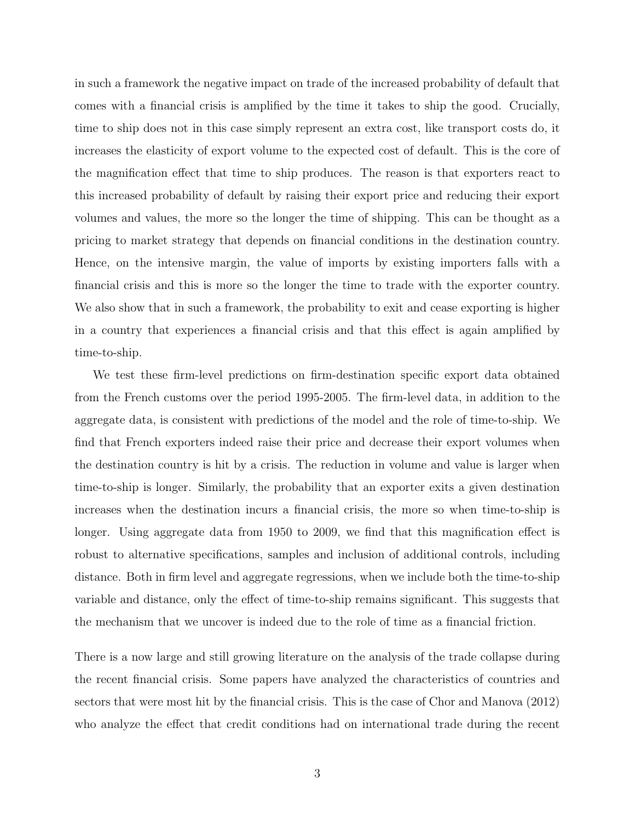in such a framework the negative impact on trade of the increased probability of default that comes with a financial crisis is amplified by the time it takes to ship the good. Crucially, time to ship does not in this case simply represent an extra cost, like transport costs do, it increases the elasticity of export volume to the expected cost of default. This is the core of the magnification effect that time to ship produces. The reason is that exporters react to this increased probability of default by raising their export price and reducing their export volumes and values, the more so the longer the time of shipping. This can be thought as a pricing to market strategy that depends on financial conditions in the destination country. Hence, on the intensive margin, the value of imports by existing importers falls with a financial crisis and this is more so the longer the time to trade with the exporter country. We also show that in such a framework, the probability to exit and cease exporting is higher in a country that experiences a financial crisis and that this effect is again amplified by time-to-ship.

We test these firm-level predictions on firm-destination specific export data obtained from the French customs over the period 1995-2005. The firm-level data, in addition to the aggregate data, is consistent with predictions of the model and the role of time-to-ship. We find that French exporters indeed raise their price and decrease their export volumes when the destination country is hit by a crisis. The reduction in volume and value is larger when time-to-ship is longer. Similarly, the probability that an exporter exits a given destination increases when the destination incurs a financial crisis, the more so when time-to-ship is longer. Using aggregate data from 1950 to 2009, we find that this magnification effect is robust to alternative specifications, samples and inclusion of additional controls, including distance. Both in firm level and aggregate regressions, when we include both the time-to-ship variable and distance, only the effect of time-to-ship remains significant. This suggests that the mechanism that we uncover is indeed due to the role of time as a financial friction.

There is a now large and still growing literature on the analysis of the trade collapse during the recent financial crisis. Some papers have analyzed the characteristics of countries and sectors that were most hit by the financial crisis. This is the case of Chor and Manova (2012) who analyze the effect that credit conditions had on international trade during the recent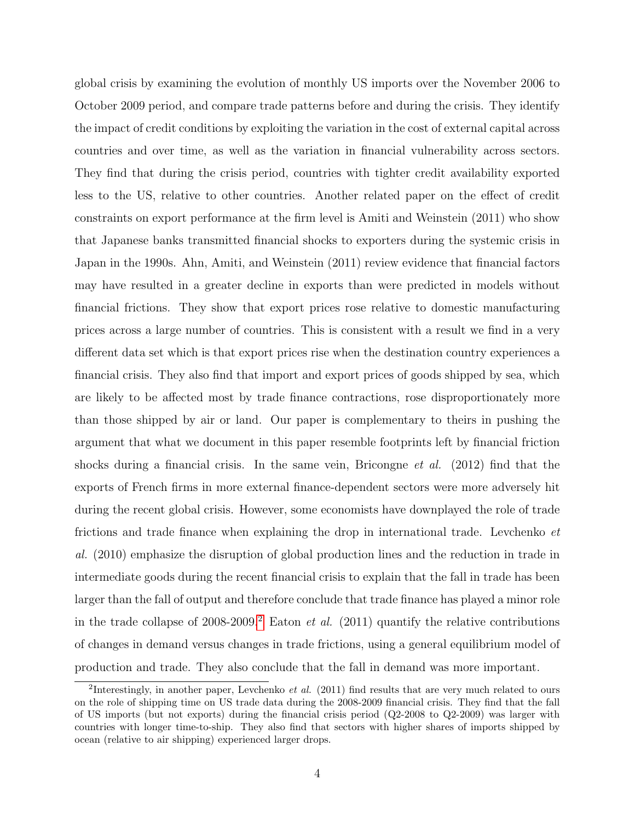global crisis by examining the evolution of monthly US imports over the November 2006 to October 2009 period, and compare trade patterns before and during the crisis. They identify the impact of credit conditions by exploiting the variation in the cost of external capital across countries and over time, as well as the variation in financial vulnerability across sectors. They find that during the crisis period, countries with tighter credit availability exported less to the US, relative to other countries. Another related paper on the effect of credit constraints on export performance at the firm level is Amiti and Weinstein (2011) who show that Japanese banks transmitted financial shocks to exporters during the systemic crisis in Japan in the 1990s. Ahn, Amiti, and Weinstein (2011) review evidence that financial factors may have resulted in a greater decline in exports than were predicted in models without financial frictions. They show that export prices rose relative to domestic manufacturing prices across a large number of countries. This is consistent with a result we find in a very different data set which is that export prices rise when the destination country experiences a financial crisis. They also find that import and export prices of goods shipped by sea, which are likely to be affected most by trade finance contractions, rose disproportionately more than those shipped by air or land. Our paper is complementary to theirs in pushing the argument that what we document in this paper resemble footprints left by financial friction shocks during a financial crisis. In the same vein, Bricongne *et al.* (2012) find that the exports of French firms in more external finance-dependent sectors were more adversely hit during the recent global crisis. However, some economists have downplayed the role of trade frictions and trade finance when explaining the drop in international trade. Levchenko et al. (2010) emphasize the disruption of global production lines and the reduction in trade in intermediate goods during the recent financial crisis to explain that the fall in trade has been larger than the fall of output and therefore conclude that trade finance has played a minor role in the trade collapse of 2008-2009.<sup>2</sup> Eaton *et al.* (2011) quantify the relative contributions of changes in demand versus changes in trade frictions, using a general equilibrium model of production and trade. They also conclude that the fall in demand was more important.

<sup>&</sup>lt;sup>2</sup>Interestingly, in another paper, Levchenko *et al.* (2011) find results that are very much related to ours on the role of shipping time on US trade data during the 2008-2009 financial crisis. They find that the fall of US imports (but not exports) during the financial crisis period (Q2-2008 to Q2-2009) was larger with countries with longer time-to-ship. They also find that sectors with higher shares of imports shipped by ocean (relative to air shipping) experienced larger drops.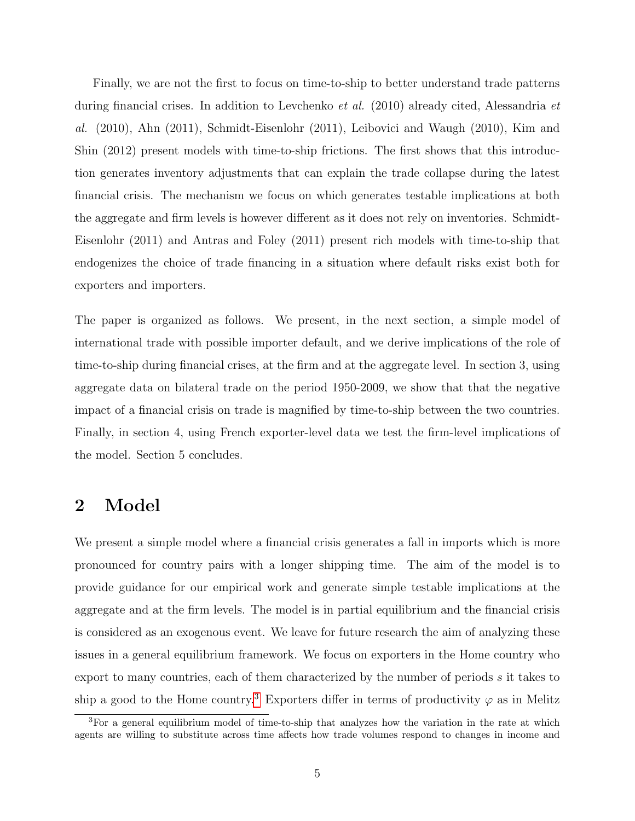Finally, we are not the first to focus on time-to-ship to better understand trade patterns during financial crises. In addition to Levchenko et al. (2010) already cited, Alessandria et al. (2010), Ahn (2011), Schmidt-Eisenlohr (2011), Leibovici and Waugh (2010), Kim and Shin (2012) present models with time-to-ship frictions. The first shows that this introduction generates inventory adjustments that can explain the trade collapse during the latest financial crisis. The mechanism we focus on which generates testable implications at both the aggregate and firm levels is however different as it does not rely on inventories. Schmidt-Eisenlohr (2011) and Antras and Foley (2011) present rich models with time-to-ship that endogenizes the choice of trade financing in a situation where default risks exist both for exporters and importers.

The paper is organized as follows. We present, in the next section, a simple model of international trade with possible importer default, and we derive implications of the role of time-to-ship during financial crises, at the firm and at the aggregate level. In section 3, using aggregate data on bilateral trade on the period 1950-2009, we show that that the negative impact of a financial crisis on trade is magnified by time-to-ship between the two countries. Finally, in section 4, using French exporter-level data we test the firm-level implications of the model. Section 5 concludes.

#### 2 Model

We present a simple model where a financial crisis generates a fall in imports which is more pronounced for country pairs with a longer shipping time. The aim of the model is to provide guidance for our empirical work and generate simple testable implications at the aggregate and at the firm levels. The model is in partial equilibrium and the financial crisis is considered as an exogenous event. We leave for future research the aim of analyzing these issues in a general equilibrium framework. We focus on exporters in the Home country who export to many countries, each of them characterized by the number of periods s it takes to ship a good to the Home country.<sup>3</sup> Exporters differ in terms of productivity  $\varphi$  as in Melitz

<sup>&</sup>lt;sup>3</sup>For a general equilibrium model of time-to-ship that analyzes how the variation in the rate at which agents are willing to substitute across time affects how trade volumes respond to changes in income and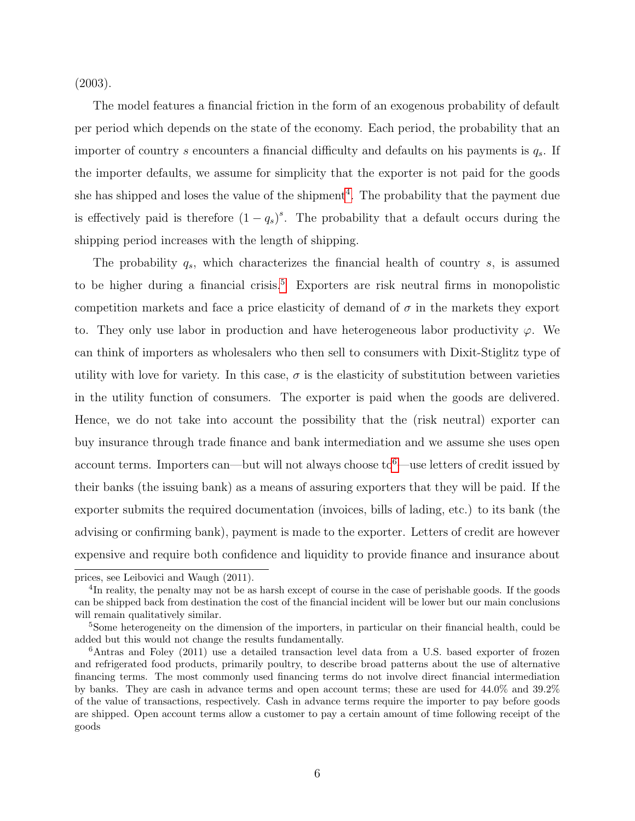(2003).

The model features a financial friction in the form of an exogenous probability of default per period which depends on the state of the economy. Each period, the probability that an importer of country s encounters a financial difficulty and defaults on his payments is  $q_s$ . If the importer defaults, we assume for simplicity that the exporter is not paid for the goods she has shipped and loses the value of the shipment<sup>4</sup>. The probability that the payment due is effectively paid is therefore  $(1 - q_s)^s$ . The probability that a default occurs during the shipping period increases with the length of shipping.

The probability  $q_s$ , which characterizes the financial health of country s, is assumed to be higher during a financial crisis.<sup>5</sup> Exporters are risk neutral firms in monopolistic competition markets and face a price elasticity of demand of  $\sigma$  in the markets they export to. They only use labor in production and have heterogeneous labor productivity  $\varphi$ . We can think of importers as wholesalers who then sell to consumers with Dixit-Stiglitz type of utility with love for variety. In this case,  $\sigma$  is the elasticity of substitution between varieties in the utility function of consumers. The exporter is paid when the goods are delivered. Hence, we do not take into account the possibility that the (risk neutral) exporter can buy insurance through trade finance and bank intermediation and we assume she uses open account terms. Importers can—but will not always choose to<sup>6</sup>—use letters of credit issued by their banks (the issuing bank) as a means of assuring exporters that they will be paid. If the exporter submits the required documentation (invoices, bills of lading, etc.) to its bank (the advising or confirming bank), payment is made to the exporter. Letters of credit are however expensive and require both confidence and liquidity to provide finance and insurance about

prices, see Leibovici and Waugh (2011).

<sup>&</sup>lt;sup>4</sup>In reality, the penalty may not be as harsh except of course in the case of perishable goods. If the goods can be shipped back from destination the cost of the financial incident will be lower but our main conclusions will remain qualitatively similar.

<sup>&</sup>lt;sup>5</sup>Some heterogeneity on the dimension of the importers, in particular on their financial health, could be added but this would not change the results fundamentally.

 $6$ Antras and Foley (2011) use a detailed transaction level data from a U.S. based exporter of frozen and refrigerated food products, primarily poultry, to describe broad patterns about the use of alternative financing terms. The most commonly used financing terms do not involve direct financial intermediation by banks. They are cash in advance terms and open account terms; these are used for 44.0% and 39.2% of the value of transactions, respectively. Cash in advance terms require the importer to pay before goods are shipped. Open account terms allow a customer to pay a certain amount of time following receipt of the goods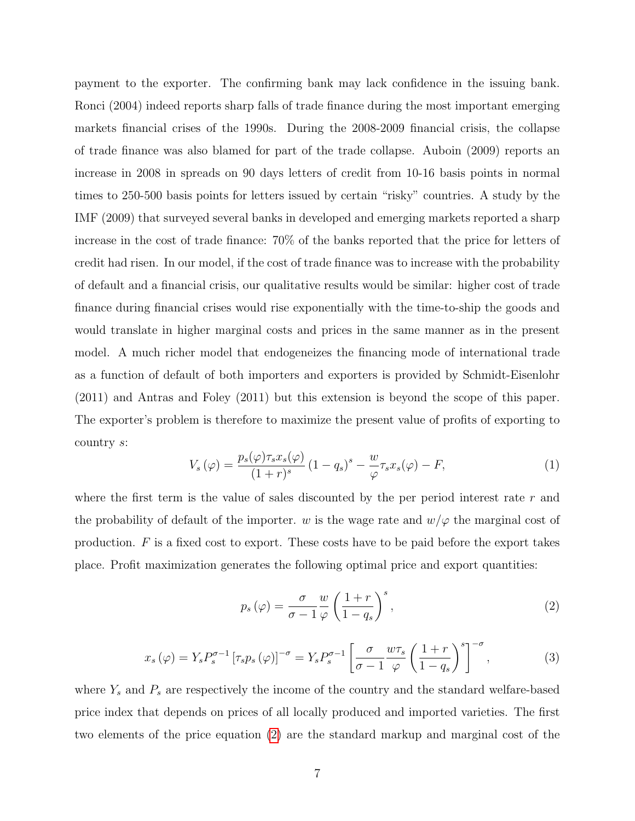payment to the exporter. The confirming bank may lack confidence in the issuing bank. Ronci (2004) indeed reports sharp falls of trade finance during the most important emerging markets financial crises of the 1990s. During the 2008-2009 financial crisis, the collapse of trade finance was also blamed for part of the trade collapse. Auboin (2009) reports an increase in 2008 in spreads on 90 days letters of credit from 10-16 basis points in normal times to 250-500 basis points for letters issued by certain "risky" countries. A study by the IMF (2009) that surveyed several banks in developed and emerging markets reported a sharp increase in the cost of trade finance: 70% of the banks reported that the price for letters of credit had risen. In our model, if the cost of trade finance was to increase with the probability of default and a financial crisis, our qualitative results would be similar: higher cost of trade finance during financial crises would rise exponentially with the time-to-ship the goods and would translate in higher marginal costs and prices in the same manner as in the present model. A much richer model that endogeneizes the financing mode of international trade as a function of default of both importers and exporters is provided by Schmidt-Eisenlohr (2011) and Antras and Foley (2011) but this extension is beyond the scope of this paper. The exporter's problem is therefore to maximize the present value of profits of exporting to country s:

$$
V_s(\varphi) = \frac{p_s(\varphi)\tau_s x_s(\varphi)}{(1+r)^s} \left(1-q_s\right)^s - \frac{w}{\varphi}\tau_s x_s(\varphi) - F,\tag{1}
$$

where the first term is the value of sales discounted by the per period interest rate  $r$  and the probability of default of the importer. w is the wage rate and  $w/\varphi$  the marginal cost of production. F is a fixed cost to export. These costs have to be paid before the export takes place. Profit maximization generates the following optimal price and export quantities:

$$
p_s(\varphi) = \frac{\sigma}{\sigma - 1} \frac{w}{\varphi} \left( \frac{1+r}{1-q_s} \right)^s, \tag{2}
$$

$$
x_s(\varphi) = Y_s P_s^{\sigma-1} \left[ \tau_s p_s(\varphi) \right]^{-\sigma} = Y_s P_s^{\sigma-1} \left[ \frac{\sigma}{\sigma - 1} \frac{w \tau_s}{\varphi} \left( \frac{1+r}{1-q_s} \right)^s \right]^{-\sigma}, \tag{3}
$$

where  $Y_s$  and  $P_s$  are respectively the income of the country and the standard welfare-based price index that depends on prices of all locally produced and imported varieties. The first two elements of the price equation (2) are the standard markup and marginal cost of the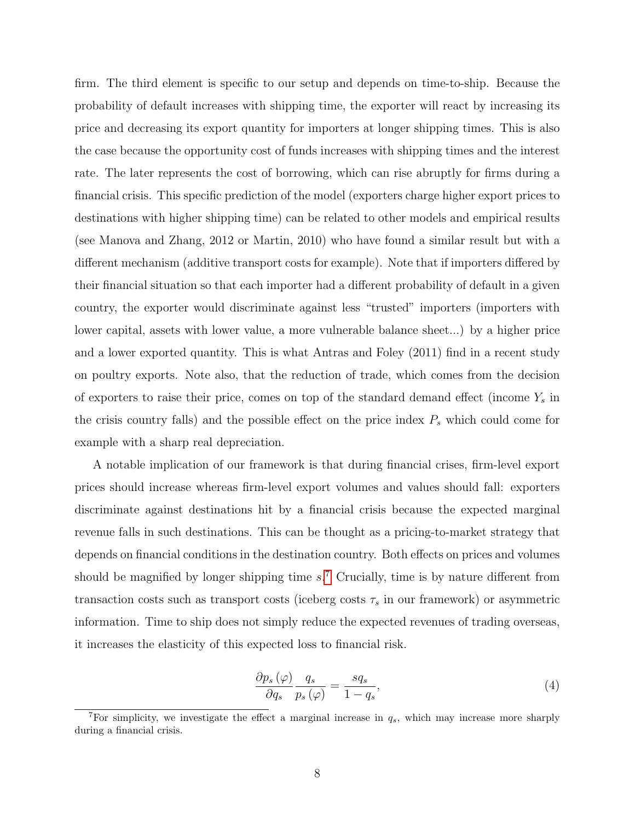firm. The third element is specific to our setup and depends on time-to-ship. Because the probability of default increases with shipping time, the exporter will react by increasing its price and decreasing its export quantity for importers at longer shipping times. This is also the case because the opportunity cost of funds increases with shipping times and the interest rate. The later represents the cost of borrowing, which can rise abruptly for firms during a financial crisis. This specific prediction of the model (exporters charge higher export prices to destinations with higher shipping time) can be related to other models and empirical results (see Manova and Zhang, 2012 or Martin, 2010) who have found a similar result but with a different mechanism (additive transport costs for example). Note that if importers differed by their financial situation so that each importer had a different probability of default in a given country, the exporter would discriminate against less "trusted" importers (importers with lower capital, assets with lower value, a more vulnerable balance sheet...) by a higher price and a lower exported quantity. This is what Antras and Foley (2011) find in a recent study on poultry exports. Note also, that the reduction of trade, which comes from the decision of exporters to raise their price, comes on top of the standard demand effect (income  $Y_s$  in the crisis country falls) and the possible effect on the price index  $P_s$  which could come for example with a sharp real depreciation.

A notable implication of our framework is that during financial crises, firm-level export prices should increase whereas firm-level export volumes and values should fall: exporters discriminate against destinations hit by a financial crisis because the expected marginal revenue falls in such destinations. This can be thought as a pricing-to-market strategy that depends on financial conditions in the destination country. Both effects on prices and volumes should be magnified by longer shipping time  $s^7$ . Crucially, time is by nature different from transaction costs such as transport costs (iceberg costs  $\tau_s$  in our framework) or asymmetric information. Time to ship does not simply reduce the expected revenues of trading overseas, it increases the elasticity of this expected loss to financial risk.

$$
\frac{\partial p_s \left( \varphi \right)}{\partial q_s} \frac{q_s}{p_s \left( \varphi \right)} = \frac{sq_s}{1 - q_s},\tag{4}
$$

<sup>&</sup>lt;sup>7</sup>For simplicity, we investigate the effect a marginal increase in  $q_s$ , which may increase more sharply during a financial crisis.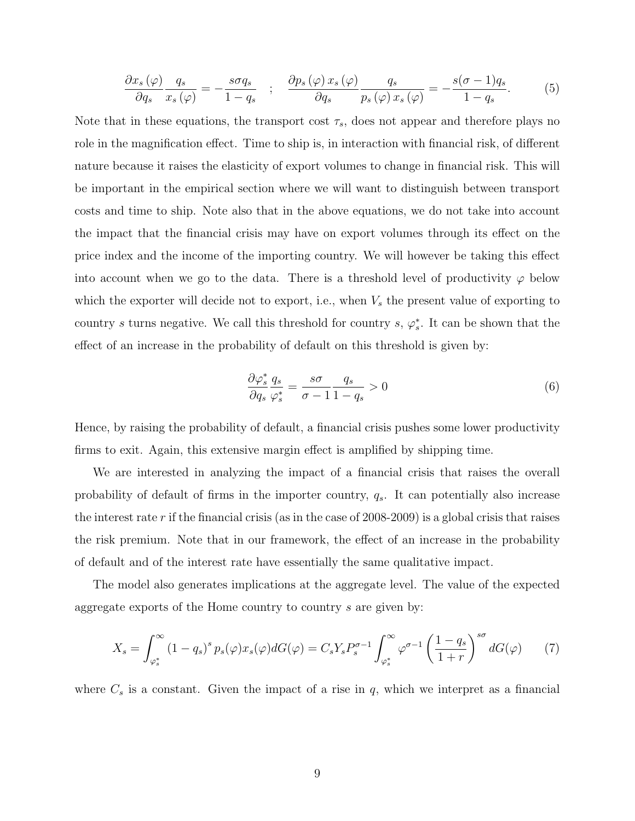$$
\frac{\partial x_s(\varphi)}{\partial q_s} \frac{q_s}{x_s(\varphi)} = -\frac{s \sigma q_s}{1 - q_s} \quad ; \quad \frac{\partial p_s(\varphi) \, x_s(\varphi)}{\partial q_s} \frac{q_s}{p_s(\varphi) \, x_s(\varphi)} = -\frac{s(\sigma - 1) q_s}{1 - q_s}.\tag{5}
$$

Note that in these equations, the transport cost  $\tau_s$ , does not appear and therefore plays no role in the magnification effect. Time to ship is, in interaction with financial risk, of different nature because it raises the elasticity of export volumes to change in financial risk. This will be important in the empirical section where we will want to distinguish between transport costs and time to ship. Note also that in the above equations, we do not take into account the impact that the financial crisis may have on export volumes through its effect on the price index and the income of the importing country. We will however be taking this effect into account when we go to the data. There is a threshold level of productivity  $\varphi$  below which the exporter will decide not to export, i.e., when  $V_s$  the present value of exporting to country s turns negative. We call this threshold for country s,  $\varphi_s^*$ . It can be shown that the effect of an increase in the probability of default on this threshold is given by:

$$
\frac{\partial \varphi_s^*}{\partial q_s} \frac{q_s}{\varphi_s^*} = \frac{s\sigma}{\sigma - 1} \frac{q_s}{1 - q_s} > 0 \tag{6}
$$

Hence, by raising the probability of default, a financial crisis pushes some lower productivity firms to exit. Again, this extensive margin effect is amplified by shipping time.

We are interested in analyzing the impact of a financial crisis that raises the overall probability of default of firms in the importer country,  $q_s$ . It can potentially also increase the interest rate r if the financial crisis (as in the case of 2008-2009) is a global crisis that raises the risk premium. Note that in our framework, the effect of an increase in the probability of default and of the interest rate have essentially the same qualitative impact.

The model also generates implications at the aggregate level. The value of the expected aggregate exports of the Home country to country s are given by:

$$
X_s = \int_{\varphi_s^*}^{\infty} (1 - q_s)^s p_s(\varphi) x_s(\varphi) dG(\varphi) = C_s Y_s P_s^{\sigma - 1} \int_{\varphi_s^*}^{\infty} \varphi^{\sigma - 1} \left( \frac{1 - q_s}{1 + r} \right)^{s\sigma} dG(\varphi) \tag{7}
$$

where  $C_s$  is a constant. Given the impact of a rise in  $q$ , which we interpret as a financial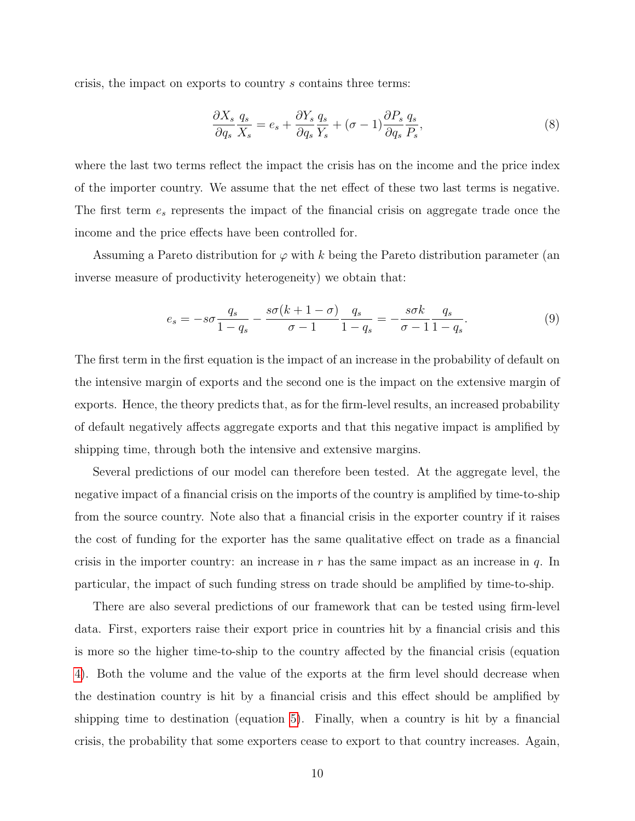crisis, the impact on exports to country s contains three terms:

$$
\frac{\partial X_s}{\partial q_s} \frac{q_s}{X_s} = e_s + \frac{\partial Y_s}{\partial q_s} \frac{q_s}{Y_s} + (\sigma - 1) \frac{\partial P_s}{\partial q_s} \frac{q_s}{P_s},\tag{8}
$$

where the last two terms reflect the impact the crisis has on the income and the price index of the importer country. We assume that the net effect of these two last terms is negative. The first term  $e_s$  represents the impact of the financial crisis on aggregate trade once the income and the price effects have been controlled for.

Assuming a Pareto distribution for  $\varphi$  with k being the Pareto distribution parameter (an inverse measure of productivity heterogeneity) we obtain that:

$$
e_s = -s\sigma \frac{q_s}{1-q_s} - \frac{s\sigma(k+1-\sigma)}{\sigma-1} \frac{q_s}{1-q_s} = -\frac{s\sigma k}{\sigma-1} \frac{q_s}{1-q_s}.
$$
 (9)

The first term in the first equation is the impact of an increase in the probability of default on the intensive margin of exports and the second one is the impact on the extensive margin of exports. Hence, the theory predicts that, as for the firm-level results, an increased probability of default negatively affects aggregate exports and that this negative impact is amplified by shipping time, through both the intensive and extensive margins.

Several predictions of our model can therefore been tested. At the aggregate level, the negative impact of a financial crisis on the imports of the country is amplified by time-to-ship from the source country. Note also that a financial crisis in the exporter country if it raises the cost of funding for the exporter has the same qualitative effect on trade as a financial crisis in the importer country: an increase in  $r$  has the same impact as an increase in  $q$ . In particular, the impact of such funding stress on trade should be amplified by time-to-ship.

There are also several predictions of our framework that can be tested using firm-level data. First, exporters raise their export price in countries hit by a financial crisis and this is more so the higher time-to-ship to the country affected by the financial crisis (equation 4). Both the volume and the value of the exports at the firm level should decrease when the destination country is hit by a financial crisis and this effect should be amplified by shipping time to destination (equation 5). Finally, when a country is hit by a financial crisis, the probability that some exporters cease to export to that country increases. Again,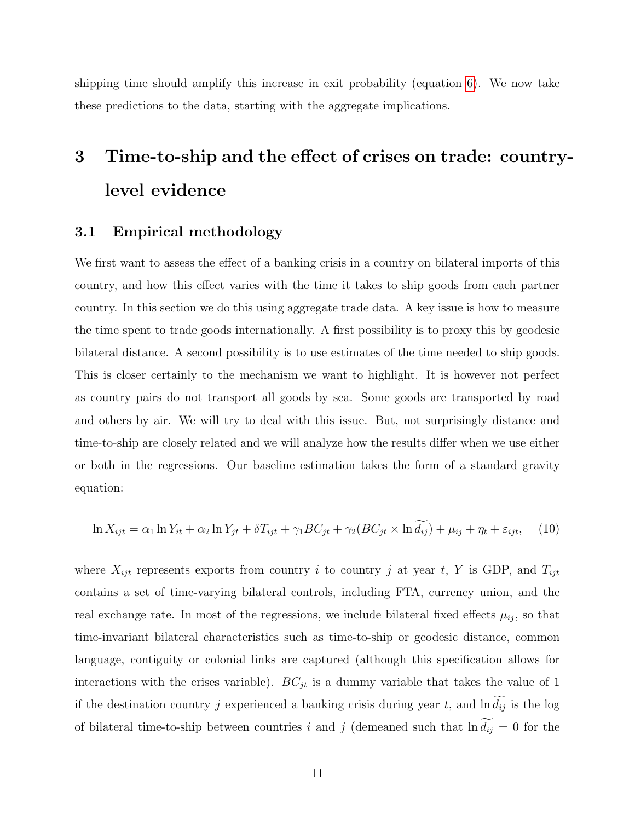shipping time should amplify this increase in exit probability (equation 6). We now take these predictions to the data, starting with the aggregate implications.

## 3 Time-to-ship and the effect of crises on trade: countrylevel evidence

#### 3.1 Empirical methodology

We first want to assess the effect of a banking crisis in a country on bilateral imports of this country, and how this effect varies with the time it takes to ship goods from each partner country. In this section we do this using aggregate trade data. A key issue is how to measure the time spent to trade goods internationally. A first possibility is to proxy this by geodesic bilateral distance. A second possibility is to use estimates of the time needed to ship goods. This is closer certainly to the mechanism we want to highlight. It is however not perfect as country pairs do not transport all goods by sea. Some goods are transported by road and others by air. We will try to deal with this issue. But, not surprisingly distance and time-to-ship are closely related and we will analyze how the results differ when we use either or both in the regressions. Our baseline estimation takes the form of a standard gravity equation:

$$
\ln X_{ijt} = \alpha_1 \ln Y_{it} + \alpha_2 \ln Y_{jt} + \delta T_{ijt} + \gamma_1 BC_{jt} + \gamma_2 (BC_{jt} \times \ln \widetilde{d_{ij}}) + \mu_{ij} + \eta_t + \varepsilon_{ijt}, \tag{10}
$$

where  $X_{ijt}$  represents exports from country i to country j at year t, Y is GDP, and  $T_{ijt}$ contains a set of time-varying bilateral controls, including FTA, currency union, and the real exchange rate. In most of the regressions, we include bilateral fixed effects  $\mu_{ij}$ , so that time-invariant bilateral characteristics such as time-to-ship or geodesic distance, common language, contiguity or colonial links are captured (although this specification allows for interactions with the crises variable).  $BC_{jt}$  is a dummy variable that takes the value of 1 if the destination country j experienced a banking crisis during year t, and  $\ln \widetilde{d_{ij}}$  is the log of bilateral time-to-ship between countries i and j (demeaned such that  $\ln \widetilde{d_{ij}} = 0$  for the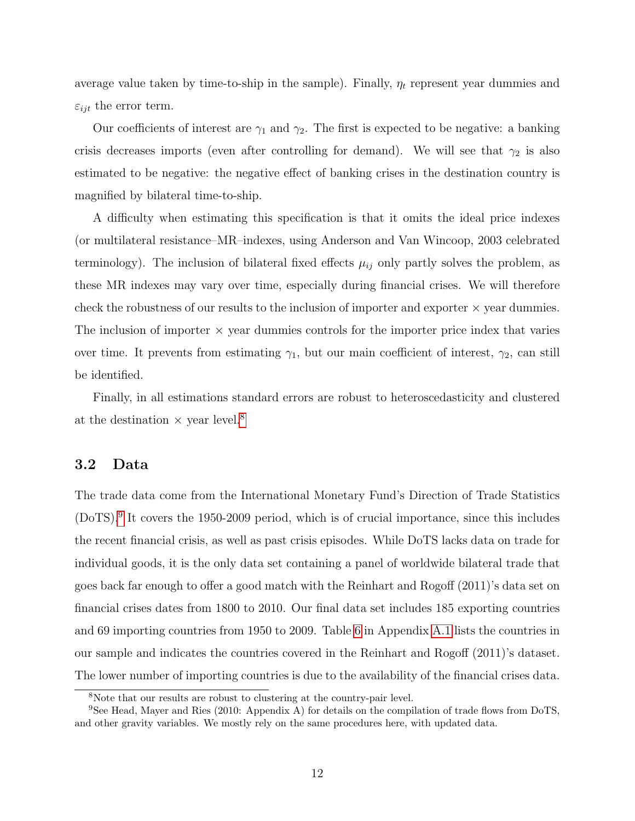average value taken by time-to-ship in the sample). Finally,  $\eta_t$  represent year dummies and  $\varepsilon_{ijt}$  the error term.

Our coefficients of interest are  $\gamma_1$  and  $\gamma_2$ . The first is expected to be negative: a banking crisis decreases imports (even after controlling for demand). We will see that  $\gamma_2$  is also estimated to be negative: the negative effect of banking crises in the destination country is magnified by bilateral time-to-ship.

A difficulty when estimating this specification is that it omits the ideal price indexes (or multilateral resistance–MR–indexes, using Anderson and Van Wincoop, 2003 celebrated terminology). The inclusion of bilateral fixed effects  $\mu_{ij}$  only partly solves the problem, as these MR indexes may vary over time, especially during financial crises. We will therefore check the robustness of our results to the inclusion of importer and exporter  $\times$  year dummies. The inclusion of importer  $\times$  year dummies controls for the importer price index that varies over time. It prevents from estimating  $\gamma_1$ , but our main coefficient of interest,  $\gamma_2$ , can still be identified.

Finally, in all estimations standard errors are robust to heteroscedasticity and clustered at the destination  $\times$  year level.<sup>8</sup>

#### 3.2 Data

The trade data come from the International Monetary Fund's Direction of Trade Statistics (DoTS).9 It covers the 1950-2009 period, which is of crucial importance, since this includes the recent financial crisis, as well as past crisis episodes. While DoTS lacks data on trade for individual goods, it is the only data set containing a panel of worldwide bilateral trade that goes back far enough to offer a good match with the Reinhart and Rogoff (2011)'s data set on financial crises dates from 1800 to 2010. Our final data set includes 185 exporting countries and 69 importing countries from 1950 to 2009. Table 6 in Appendix A.1 lists the countries in our sample and indicates the countries covered in the Reinhart and Rogoff (2011)'s dataset. The lower number of importing countries is due to the availability of the financial crises data.

<sup>8</sup>Note that our results are robust to clustering at the country-pair level.

<sup>&</sup>lt;sup>9</sup>See Head, Mayer and Ries (2010: Appendix A) for details on the compilation of trade flows from DoTS, and other gravity variables. We mostly rely on the same procedures here, with updated data.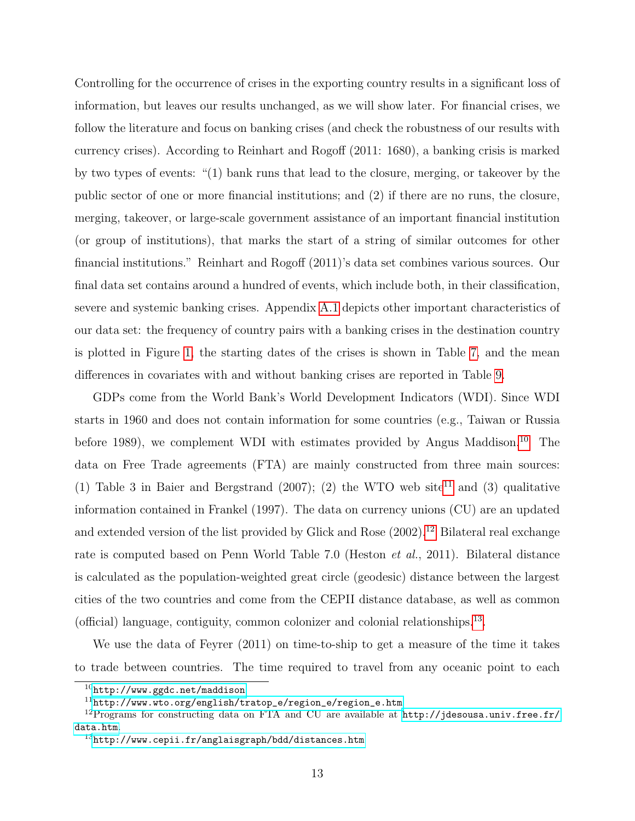Controlling for the occurrence of crises in the exporting country results in a significant loss of information, but leaves our results unchanged, as we will show later. For financial crises, we follow the literature and focus on banking crises (and check the robustness of our results with currency crises). According to Reinhart and Rogoff (2011: 1680), a banking crisis is marked by two types of events: "(1) bank runs that lead to the closure, merging, or takeover by the public sector of one or more financial institutions; and (2) if there are no runs, the closure, merging, takeover, or large-scale government assistance of an important financial institution (or group of institutions), that marks the start of a string of similar outcomes for other financial institutions." Reinhart and Rogoff (2011)'s data set combines various sources. Our final data set contains around a hundred of events, which include both, in their classification, severe and systemic banking crises. Appendix A.1 depicts other important characteristics of our data set: the frequency of country pairs with a banking crises in the destination country is plotted in Figure 1, the starting dates of the crises is shown in Table 7, and the mean differences in covariates with and without banking crises are reported in Table 9.

GDPs come from the World Bank's World Development Indicators (WDI). Since WDI starts in 1960 and does not contain information for some countries (e.g., Taiwan or Russia before 1989), we complement WDI with estimates provided by Angus Maddison.<sup>10</sup> The data on Free Trade agreements (FTA) are mainly constructed from three main sources: (1) Table 3 in Baier and Bergstrand (2007); (2) the WTO web site<sup>11</sup> and (3) qualitative information contained in Frankel (1997). The data on currency unions (CU) are an updated and extended version of the list provided by Glick and Rose (2002).<sup>12</sup> Bilateral real exchange rate is computed based on Penn World Table 7.0 (Heston et al., 2011). Bilateral distance is calculated as the population-weighted great circle (geodesic) distance between the largest cities of the two countries and come from the CEPII distance database, as well as common (official) language, contiguity, common colonizer and colonial relationships.<sup>13</sup>.

We use the data of Feyrer (2011) on time-to-ship to get a measure of the time it takes to trade between countries. The time required to travel from any oceanic point to each

 $^{10}\mathrm{http://www.ggdc.net/maddison}$  $^{10}\mathrm{http://www.ggdc.net/maddison}$  $^{10}\mathrm{http://www.ggdc.net/maddison}$ 

 $11$ [http://www.wto.org/english/tratop\\_e/region\\_e/region\\_e.htm](http://www.wto.org/english/tratop_e/region_e/region_e.htm)

<sup>&</sup>lt;sup>12</sup>Programs for constructing data on FTA and CU are available at  $http://jdesousa.univ.free.fr/$ [data.htm](http://jdesousa.univ.free.fr/data.htm).

 $^{13}$ <http://www.cepii.fr/anglaisgraph/bdd/distances.htm>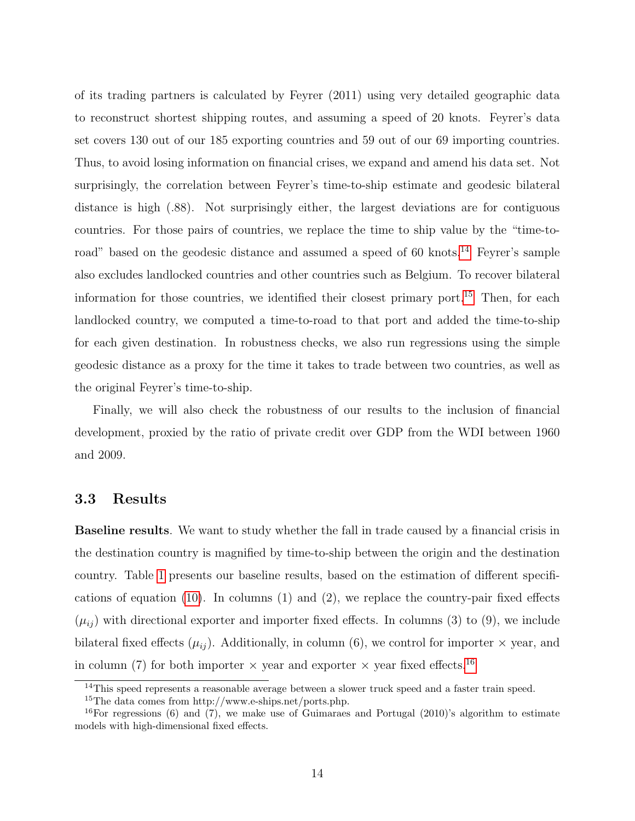of its trading partners is calculated by Feyrer (2011) using very detailed geographic data to reconstruct shortest shipping routes, and assuming a speed of 20 knots. Feyrer's data set covers 130 out of our 185 exporting countries and 59 out of our 69 importing countries. Thus, to avoid losing information on financial crises, we expand and amend his data set. Not surprisingly, the correlation between Feyrer's time-to-ship estimate and geodesic bilateral distance is high (.88). Not surprisingly either, the largest deviations are for contiguous countries. For those pairs of countries, we replace the time to ship value by the "time-toroad" based on the geodesic distance and assumed a speed of 60 knots.<sup>14</sup> Feyrer's sample also excludes landlocked countries and other countries such as Belgium. To recover bilateral information for those countries, we identified their closest primary port.<sup>15</sup> Then, for each landlocked country, we computed a time-to-road to that port and added the time-to-ship for each given destination. In robustness checks, we also run regressions using the simple geodesic distance as a proxy for the time it takes to trade between two countries, as well as the original Feyrer's time-to-ship.

Finally, we will also check the robustness of our results to the inclusion of financial development, proxied by the ratio of private credit over GDP from the WDI between 1960 and 2009.

#### 3.3 Results

Baseline results. We want to study whether the fall in trade caused by a financial crisis in the destination country is magnified by time-to-ship between the origin and the destination country. Table 1 presents our baseline results, based on the estimation of different specifications of equation (10). In columns (1) and (2), we replace the country-pair fixed effects  $(\mu_{ij})$  with directional exporter and importer fixed effects. In columns (3) to (9), we include bilateral fixed effects  $(\mu_{ij})$ . Additionally, in column (6), we control for importer  $\times$  year, and in column (7) for both importer  $\times$  year and exporter  $\times$  year fixed effects.<sup>16</sup>

<sup>&</sup>lt;sup>14</sup>This speed represents a reasonable average between a slower truck speed and a faster train speed.

<sup>15</sup>The data comes from http://www.e-ships.net/ports.php.

 $16$ For regressions (6) and (7), we make use of Guimaraes and Portugal (2010)'s algorithm to estimate models with high-dimensional fixed effects.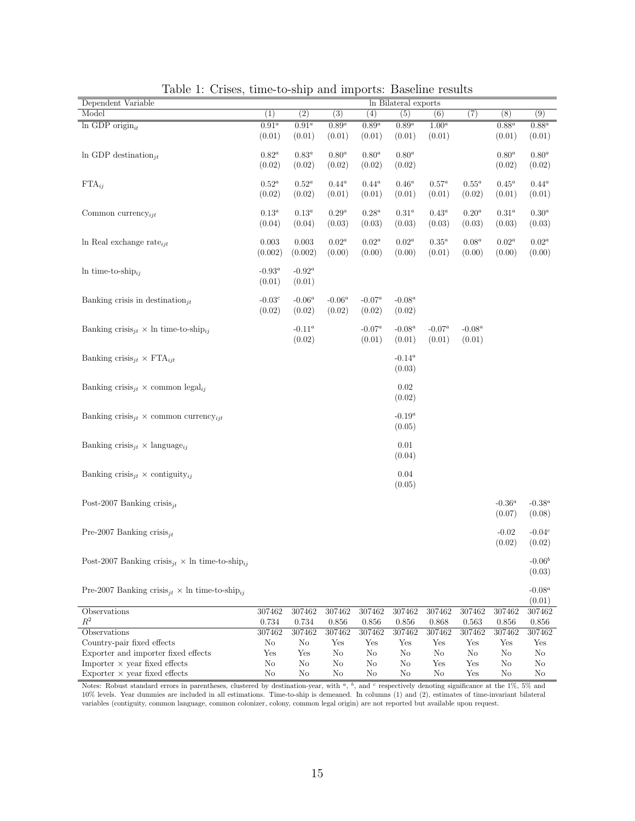| Dependent Variable                                                            |                     |                  |                  |                   | In Bilateral exports |                |                  |                  |                  |
|-------------------------------------------------------------------------------|---------------------|------------------|------------------|-------------------|----------------------|----------------|------------------|------------------|------------------|
| Model                                                                         | $\overline{(1)}$    | $\overline{(2)}$ | $\overline{(3)}$ | $\left( 4\right)$ | $\overline{(5)}$     | (6)            | $\overline{(7)}$ | $\overline{(8)}$ | $\overline{(9)}$ |
| $ln$ GDP origin $_{it}$                                                       | $\overline{0.91^a}$ | $0.91^a$         | $0.89^a$         | $0.89^a$          | $0.89^a$             | $1.00^a$       |                  | $0.88^a$         | $0.88^a$         |
|                                                                               | (0.01)              | (0.01)           | (0.01)           | (0.01)            | (0.01)               | (0.01)         |                  | (0.01)           | (0.01)           |
|                                                                               |                     |                  |                  |                   |                      |                |                  |                  |                  |
| In GDP destination <sub>it</sub>                                              | $0.82^a$            | $0.83^a$         | $0.80^a$         | $0.80^a$          | $0.80^a$             |                |                  | $0.80^a$         | $0.80^a$         |
|                                                                               | (0.02)              | (0.02)           | (0.02)           | (0.02)            | (0.02)               |                |                  | (0.02)           | (0.02)           |
| $\text{FTA}_{ij}$                                                             | $0.52^a$            | $0.52^a$         | $0.44^a$         | $0.44^a$          | $0.46^a$             | $0.57^a$       | $0.55^a$         | $0.45^a$         | $0.44^a$         |
|                                                                               | (0.02)              | (0.02)           | (0.01)           | (0.01)            | (0.01)               | (0.01)         | (0.02)           | (0.01)           | (0.01)           |
|                                                                               |                     |                  |                  |                   |                      |                |                  |                  |                  |
| Common currency <sub>iit</sub>                                                | $0.13^a$            | $0.13^a$         | $0.29^a$         | $0.28^a$          | $0.31^a$             | $0.43^a$       | $0.20^a$         | $0.31^a$         | $0.30^a$         |
|                                                                               | (0.04)              | (0.04)           | (0.03)           | (0.03)            | (0.03)               | (0.03)         | (0.03)           | (0.03)           | (0.03)           |
| In Real exchange rate $_{i}$                                                  | $\,0.003\,$         | 0.003            | $0.02^a$         | $0.02^a\,$        | $0.02^a$             | $0.35^a$       | $0.08^a$         | $0.02^a$         | $0.02^a$         |
|                                                                               | (0.002)             | (0.002)          | (0.00)           | (0.00)            | (0.00)               | (0.01)         | (0.00)           | (0.00)           | (0.00)           |
|                                                                               |                     |                  |                  |                   |                      |                |                  |                  |                  |
| In time-to-ship $_{ij}$                                                       | -0.93 $^a$          | $-0.92^a$        |                  |                   |                      |                |                  |                  |                  |
|                                                                               | (0.01)              | (0.01)           |                  |                   |                      |                |                  |                  |                  |
|                                                                               |                     |                  |                  |                   |                      |                |                  |                  |                  |
| Banking crisis in destination $it$                                            | -0.03 $^c$          | -0.06 $^a$       | $-0.06^a$        | $\text{-}0.07^a$  | -0.08 $^a$           |                |                  |                  |                  |
|                                                                               | (0.02)              | (0.02)           | (0.02)           | (0.02)            | (0.02)               |                |                  |                  |                  |
| Banking crisis <sub>it</sub> $\times$ ln time-to-ship <sub>ij</sub>           |                     | -0.11 $^a$       |                  | $\text{-}0.07^a$  | $-0.08^a$            | $-0.07^a$      | $-0.08^a$        |                  |                  |
|                                                                               |                     | (0.02)           |                  | (0.01)            | (0.01)               | (0.01)         | (0.01)           |                  |                  |
|                                                                               |                     |                  |                  |                   |                      |                |                  |                  |                  |
| Banking crisis <sub>it</sub> $\times$ FTA <sub>ijt</sub>                      |                     |                  |                  |                   | $-0.14^a$            |                |                  |                  |                  |
|                                                                               |                     |                  |                  |                   | (0.03)               |                |                  |                  |                  |
|                                                                               |                     |                  |                  |                   |                      |                |                  |                  |                  |
| Banking crisis <sub>it</sub> $\times$ common legal <sub>ij</sub>              |                     |                  |                  |                   | 0.02                 |                |                  |                  |                  |
|                                                                               |                     |                  |                  |                   | (0.02)               |                |                  |                  |                  |
| Banking crisis <sub>it</sub> $\times$ common currency <sub>iit</sub>          |                     |                  |                  |                   | $-0.19^a$            |                |                  |                  |                  |
|                                                                               |                     |                  |                  |                   | (0.05)               |                |                  |                  |                  |
|                                                                               |                     |                  |                  |                   |                      |                |                  |                  |                  |
| Banking crisis <sub>jt</sub> $\times$ language <sub>ij</sub>                  |                     |                  |                  |                   | 0.01                 |                |                  |                  |                  |
|                                                                               |                     |                  |                  |                   | (0.04)               |                |                  |                  |                  |
|                                                                               |                     |                  |                  |                   |                      |                |                  |                  |                  |
| Banking crisis <sub>it</sub> $\times$ contiguity <sub>ij</sub>                |                     |                  |                  |                   | $0.04\,$             |                |                  |                  |                  |
|                                                                               |                     |                  |                  |                   | (0.05)               |                |                  |                  |                  |
| Post-2007 Banking crisis <sub>it</sub>                                        |                     |                  |                  |                   |                      |                |                  | $-0.36^a$        | $-0.38^a$        |
|                                                                               |                     |                  |                  |                   |                      |                |                  | (0.07)           | (0.08)           |
|                                                                               |                     |                  |                  |                   |                      |                |                  |                  |                  |
| Pre-2007 Banking crisis <sub>it</sub>                                         |                     |                  |                  |                   |                      |                |                  | $-0.02$          | $-0.04c$         |
|                                                                               |                     |                  |                  |                   |                      |                |                  | (0.02)           | (0.02)           |
|                                                                               |                     |                  |                  |                   |                      |                |                  |                  |                  |
| Post-2007 Banking crisis <sub>it</sub> $\times$ ln time-to-ship <sub>ij</sub> |                     |                  |                  |                   |                      |                |                  |                  | $-0.06^{b}$      |
|                                                                               |                     |                  |                  |                   |                      |                |                  |                  | (0.03)           |
| Pre-2007 Banking crisis <sub>it</sub> $\times$ ln time-to-ship <sub>ij</sub>  |                     |                  |                  |                   |                      |                |                  |                  | $-0.08^a$        |
|                                                                               |                     |                  |                  |                   |                      |                |                  |                  | (0.01)           |
| Observations                                                                  | 307462              | 307462           | 307462           | 307462            | 307462               | 307462         | 307462           | 307462           | 307462           |
| $\mathbb{R}^2$                                                                | 0.734               | 0.734            | 0.856            | 0.856             | 0.856                | 0.868          | 0.563            | 0.856            | $0.856\,$        |
| Observations                                                                  | 307462              | 307462           | 307462           | 307462            | 307462               | 307462         | 307462           | 307462           | 307462           |
| Country-pair fixed effects                                                    | No                  | No               | Yes              | Yes               | Yes                  | Yes            | Yes              | Yes              | Yes              |
| Exporter and importer fixed effects                                           | Yes                 | Yes              | N <sub>o</sub>   | N <sub>o</sub>    | N <sub>o</sub>       | N <sub>o</sub> | N <sub>o</sub>   | No               | N <sub>o</sub>   |
| Importer $\times$ year fixed effects                                          | No                  | N <sub>o</sub>   | No               | No                | No                   | Yes            | Yes              | No               | No               |
| Exporter $\times$ year fixed effects                                          | No                  | No               | No               | No                | No                   | No             | Yes              | No               | No               |

Table 1: Crises, time-to-ship and imports: Baseline results

Notes: Robust standard errors in parentheses, clustered by destination-year, with  $a, b$ , and  $c$  respectively denoting significance at the 1%, 5% and 10% levels. Year dummies are included in all estimations. Time-to-ship is demeaned. In columns (1) and (2), estimates of time-invariant bilateral variables (contiguity, common language, common colonizer, colony, common legal origin) are not reported but available upon request.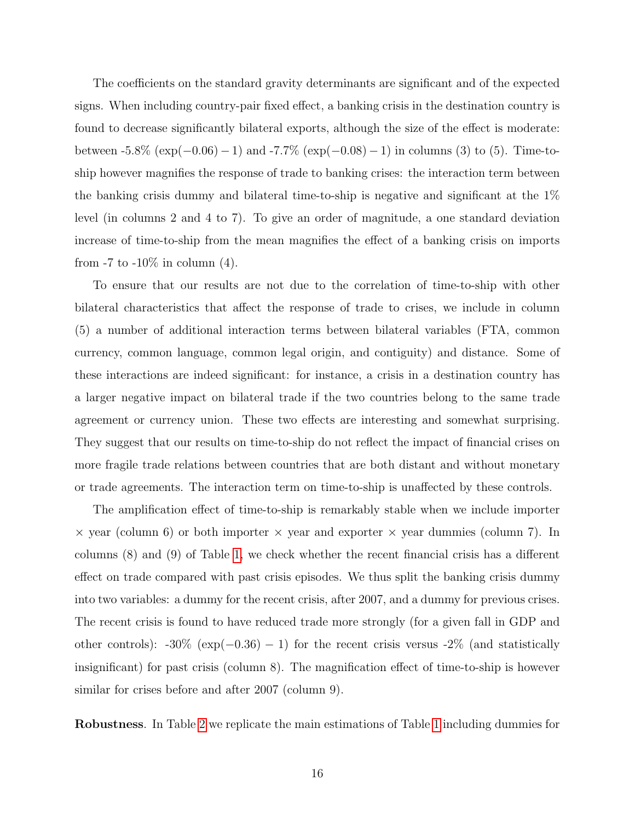The coefficients on the standard gravity determinants are significant and of the expected signs. When including country-pair fixed effect, a banking crisis in the destination country is found to decrease significantly bilateral exports, although the size of the effect is moderate: between  $-5.8\%$  (exp( $-0.06$ )  $-1$ ) and  $-7.7\%$  (exp( $-0.08$ )  $-1$ ) in columns (3) to (5). Time-toship however magnifies the response of trade to banking crises: the interaction term between the banking crisis dummy and bilateral time-to-ship is negative and significant at the 1% level (in columns 2 and 4 to 7). To give an order of magnitude, a one standard deviation increase of time-to-ship from the mean magnifies the effect of a banking crisis on imports from  $-7$  to  $-10\%$  in column (4).

To ensure that our results are not due to the correlation of time-to-ship with other bilateral characteristics that affect the response of trade to crises, we include in column (5) a number of additional interaction terms between bilateral variables (FTA, common currency, common language, common legal origin, and contiguity) and distance. Some of these interactions are indeed significant: for instance, a crisis in a destination country has a larger negative impact on bilateral trade if the two countries belong to the same trade agreement or currency union. These two effects are interesting and somewhat surprising. They suggest that our results on time-to-ship do not reflect the impact of financial crises on more fragile trade relations between countries that are both distant and without monetary or trade agreements. The interaction term on time-to-ship is unaffected by these controls.

The amplification effect of time-to-ship is remarkably stable when we include importer  $\times$  year (column 6) or both importer  $\times$  year and exporter  $\times$  year dummies (column 7). In columns (8) and (9) of Table 1, we check whether the recent financial crisis has a different effect on trade compared with past crisis episodes. We thus split the banking crisis dummy into two variables: a dummy for the recent crisis, after 2007, and a dummy for previous crises. The recent crisis is found to have reduced trade more strongly (for a given fall in GDP and other controls):  $-30\%$  (exp( $-0.36$ ) − 1) for the recent crisis versus  $-2\%$  (and statistically insignificant) for past crisis (column 8). The magnification effect of time-to-ship is however similar for crises before and after 2007 (column 9).

Robustness. In Table 2 we replicate the main estimations of Table 1 including dummies for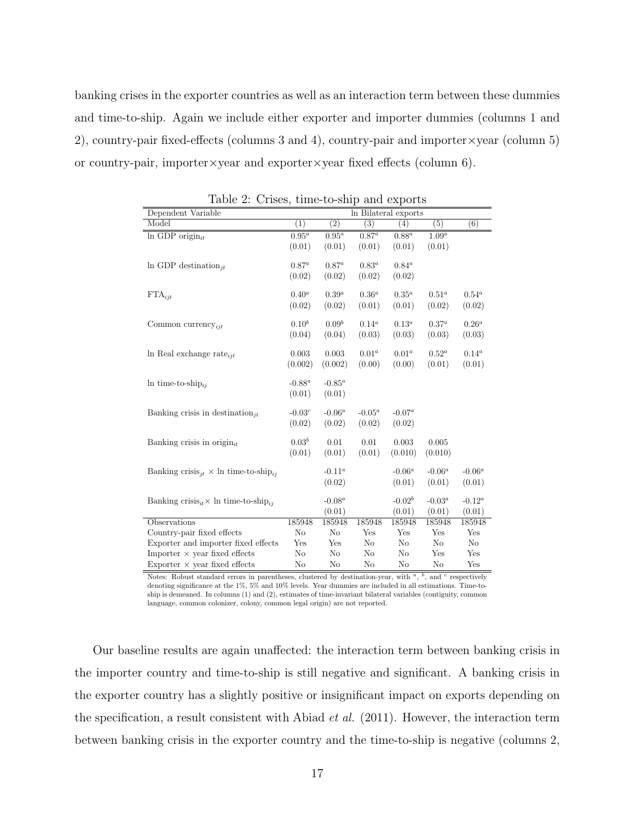banking crises in the exporter countries as well as an interaction term between these dummies and time-to-ship. Again we include either exporter and importer dummies (columns 1 and 2), country-pair fixed-effects (columns 3 and 4), country-pair and importer×year (column 5) or country-pair, importer×year and exporter×year fixed effects (column 6).

| Dependent Variable                                                  |                     |           |                  | In Bilateral exports |            |                  |
|---------------------------------------------------------------------|---------------------|-----------|------------------|----------------------|------------|------------------|
| Model                                                               | (1)                 | (2)       | $\overline{(3)}$ | (4)                  | (5)        | $\overline{(6)}$ |
| In GDP origin $_{it}$                                               | $\overline{0.95^a}$ | $0.95^a$  | $0.87^a$         | $0.88^a$             | $1.09^{a}$ |                  |
|                                                                     | (0.01)              | (0.01)    | (0.01)           | (0.01)               | (0.01)     |                  |
|                                                                     |                     |           |                  |                      |            |                  |
| In GDP destination <sub>it</sub>                                    | $0.87^a$            | $0.87^a$  | $0.83^a$         | $0.84^a$             |            |                  |
|                                                                     | (0.02)              | (0.02)    | (0.02)           | (0.02)               |            |                  |
| $\text{FTA}_{\text{ijt}}$                                           | $0.40^a$            | $0.39^a$  | $0.36^a$         | $0.35^a$             | $0.51^a$   | $0.54^a$         |
|                                                                     | (0.02)              | (0.02)    | (0.01)           | (0.01)               | (0.02)     | (0.02)           |
|                                                                     |                     |           |                  |                      |            |                  |
| Common currency <sub>iit</sub>                                      | $0.10^{b}$          | $0.09^b$  | $0.14^a$         | $0.13^a$             | $0.37^{a}$ | $0.26^a$         |
|                                                                     | (0.04)              | (0.04)    | (0.03)           | (0.03)               | (0.03)     | (0.03)           |
| In Real exchange rate <sub>iit</sub>                                | 0.003               | 0.003     | $0.01^a$         | $0.01^a$             | $0.52^a$   | $0.14^a$         |
|                                                                     | (0.002)             | (0.002)   | (0.00)           | (0.00)               | (0.01)     | (0.01)           |
|                                                                     |                     |           |                  |                      |            |                  |
| In time-to-ship <sub>ii</sub>                                       | $-0.88^a$           | $-0.85^a$ |                  |                      |            |                  |
|                                                                     | (0.01)              | (0.01)    |                  |                      |            |                  |
|                                                                     | $-0.03c$            | $-0.06^a$ | $-0.05^a$        | $-0.07^a$            |            |                  |
| Banking crisis in destination <sub>it</sub>                         |                     |           |                  |                      |            |                  |
|                                                                     | (0.02)              | (0.02)    | (0.02)           | (0.02)               |            |                  |
| Banking crisis in origin $_{it}$                                    | $0.03^{b}$          | 0.01      | 0.01             | 0.003                | 0.005      |                  |
|                                                                     | (0.01)              | (0.01)    | (0.01)           | (0.010)              | (0.010)    |                  |
|                                                                     |                     |           |                  |                      |            |                  |
| Banking crisis <sub>it</sub> $\times$ ln time-to-ship <sub>ij</sub> |                     | $-0.11^a$ |                  | $-0.06^a$            | $-0.06^a$  | $-0.06^a$        |
|                                                                     |                     | (0.02)    |                  | (0.01)               | (0.01)     | (0.01)           |
| Banking crisis <sub>it</sub> $\times$ ln time-to-ship <sub>ij</sub> |                     | $-0.08^a$ |                  | $-0.02b$             | $-0.03^a$  | $-0.12^a$        |
|                                                                     |                     | (0.01)    |                  | (0.01)               | (0.01)     | (0.01)           |
| Observations                                                        | 185948              | 185948    | 185948           | 185948               | 185948     | 185948           |
| Country-pair fixed effects                                          | $\rm No$            | No        | Yes              | Yes                  | Yes        | Yes              |
| Exporter and importer fixed effects                                 | Yes                 | Yes       | $\rm No$         | No                   | $\rm No$   | $\rm No$         |
| Importer $\times$ year fixed effects                                | No                  | No        | No               | No                   | Yes        | Yes              |
| Exporter $\times$ year fixed effects                                | $\rm No$            | No        | No               | No                   | No         | Yes              |

Table 2: Crises, time-to-ship and exports

Notes: Robust standard errors in parentheses, clustered by destination-year, with  $a$ ,  $b$ , and  $c$  respectively denoting significance at the 1%, 5% and 10% levels. Year dummies are included in all estimations. Time-toship is demeaned. In columns (1) and (2), estimates of time-invariant bilateral variables (contiguity, common language, common colonizer, colony, common legal origin) are not reported.

Our baseline results are again unaffected: the interaction term between banking crisis in the importer country and time-to-ship is still negative and significant. A banking crisis in the exporter country has a slightly positive or insignificant impact on exports depending on the specification, a result consistent with Abiad et al. (2011). However, the interaction term between banking crisis in the exporter country and the time-to-ship is negative (columns 2,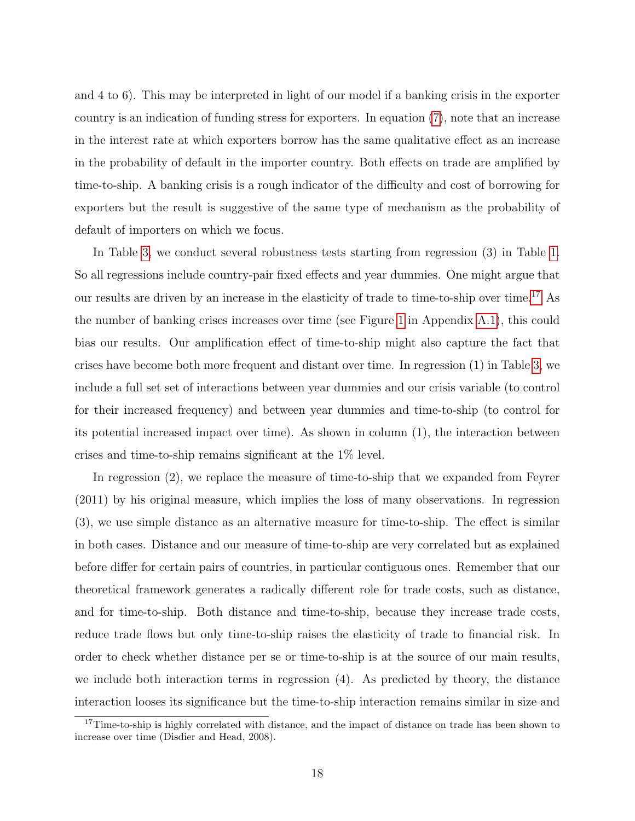and 4 to 6). This may be interpreted in light of our model if a banking crisis in the exporter country is an indication of funding stress for exporters. In equation (7), note that an increase in the interest rate at which exporters borrow has the same qualitative effect as an increase in the probability of default in the importer country. Both effects on trade are amplified by time-to-ship. A banking crisis is a rough indicator of the difficulty and cost of borrowing for exporters but the result is suggestive of the same type of mechanism as the probability of default of importers on which we focus.

In Table 3, we conduct several robustness tests starting from regression (3) in Table 1. So all regressions include country-pair fixed effects and year dummies. One might argue that our results are driven by an increase in the elasticity of trade to time-to-ship over time.17 As the number of banking crises increases over time (see Figure 1 in Appendix A.1), this could bias our results. Our amplification effect of time-to-ship might also capture the fact that crises have become both more frequent and distant over time. In regression (1) in Table 3, we include a full set set of interactions between year dummies and our crisis variable (to control for their increased frequency) and between year dummies and time-to-ship (to control for its potential increased impact over time). As shown in column (1), the interaction between crises and time-to-ship remains significant at the 1% level.

In regression (2), we replace the measure of time-to-ship that we expanded from Feyrer (2011) by his original measure, which implies the loss of many observations. In regression (3), we use simple distance as an alternative measure for time-to-ship. The effect is similar in both cases. Distance and our measure of time-to-ship are very correlated but as explained before differ for certain pairs of countries, in particular contiguous ones. Remember that our theoretical framework generates a radically different role for trade costs, such as distance, and for time-to-ship. Both distance and time-to-ship, because they increase trade costs, reduce trade flows but only time-to-ship raises the elasticity of trade to financial risk. In order to check whether distance per se or time-to-ship is at the source of our main results, we include both interaction terms in regression (4). As predicted by theory, the distance interaction looses its significance but the time-to-ship interaction remains similar in size and

<sup>&</sup>lt;sup>17</sup>Time-to-ship is highly correlated with distance, and the impact of distance on trade has been shown to increase over time (Disdier and Head, 2008).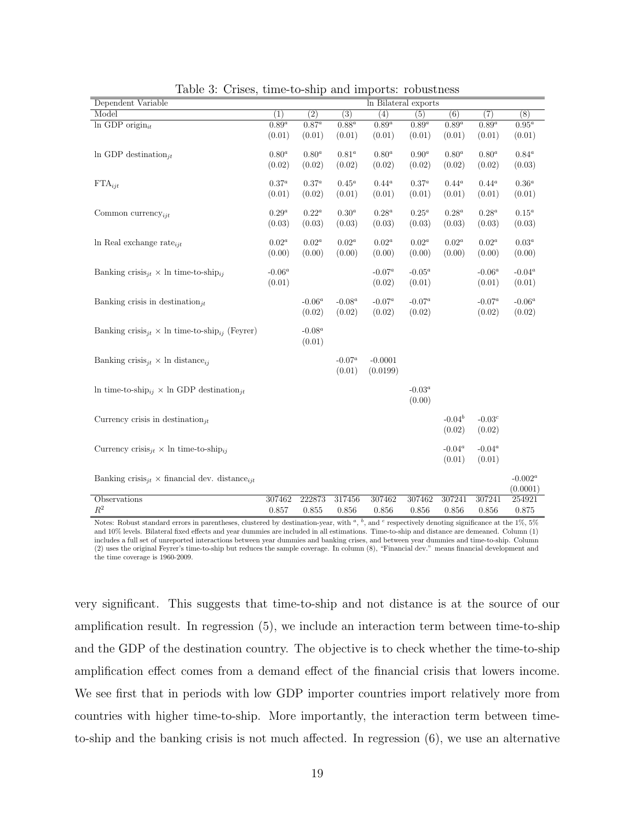| Dependent Variable                                                           |            |                  |           | In Bilateral exports |            |                     |                     |               |
|------------------------------------------------------------------------------|------------|------------------|-----------|----------------------|------------|---------------------|---------------------|---------------|
| Model                                                                        | (1)        | $\overline{(2)}$ | (3)       | (4)                  | (5)        | (6)                 | (7)                 | (8)           |
| $\overline{\ln$ GDP origin <sub>it</sub>                                     | $0.89^{a}$ | $0.87^a$         | $0.88^a$  | $0.89^{a}$           | $0.89^{a}$ | $\overline{0.89^a}$ | $\overline{0.89^a}$ | $0.95^a$      |
|                                                                              | (0.01)     | (0.01)           | (0.01)    | (0.01)               | (0.01)     | (0.01)              | (0.01)              | (0.01)        |
| In GDP destination <sub>it</sub>                                             | $0.80^a$   | $0.80^a$         | $0.81^a$  | $0.80^a$             | $0.90^a$   | $0.80^a$            | $0.80^a$            | $0.84^a$      |
|                                                                              | (0.02)     | (0.02)           | (0.02)    | (0.02)               | (0.02)     | (0.02)              | (0.02)              | (0.03)        |
|                                                                              |            |                  |           |                      |            |                     |                     |               |
| $\text{FTA}_{\text{ijt}}$                                                    | $0.37^{a}$ | $0.37^a$         | $0.45^a$  | $0.44^a$             | $0.37^a$   | $0.44^a$            | $0.44^a$            | $0.36^a$      |
|                                                                              | (0.01)     | (0.02)           | (0.01)    | (0.01)               | (0.01)     | (0.01)              | (0.01)              | (0.01)        |
|                                                                              | $0.29^a$   | $0.22^a$         | $0.30^a$  | $0.28^a$             | $0.25^a$   | $0.28^a$            | $0.28^a$            | $0.15^a$      |
| Common currency <sub>iit</sub>                                               |            |                  |           |                      |            |                     |                     |               |
|                                                                              | (0.03)     | (0.03)           | (0.03)    | (0.03)               | (0.03)     | (0.03)              | (0.03)              | (0.03)        |
| In Real exchange rate $_{iit}$                                               | $0.02^a$   | $0.02^a$         | $0.02^a$  | $0.02^a$             | $0.02^a$   | $0.02^a$            | $0.02^a$            | $0.03^a$      |
|                                                                              | (0.00)     | (0.00)           | (0.00)    | (0.00)               | (0.00)     | (0.00)              | (0.00)              | (0.00)        |
|                                                                              |            |                  |           |                      |            |                     |                     |               |
| Banking crisis <sub>jt</sub> $\times$ ln time-to-ship <sub>ij</sub>          | $-0.06^a$  |                  |           | $\text{-}0.07^a$     | $-0.05^a$  |                     | $\text{-}0.06^a$    | -0.04 $^a$    |
|                                                                              | (0.01)     |                  |           | (0.02)               | (0.01)     |                     | (0.01)              | (0.01)        |
| Banking crisis in destination <sub>it</sub>                                  |            | $-0.06^a$        | $-0.08^a$ | $-0.07^a$            | $-0.07^a$  |                     | $\text{-}0.07^a$    | $-0.06^a$     |
|                                                                              |            | (0.02)           | (0.02)    | (0.02)               | (0.02)     |                     | (0.02)              | (0.02)        |
|                                                                              |            |                  |           |                      |            |                     |                     |               |
| Banking crisis <sub>jt</sub> $\times$ ln time-to-ship <sub>ij</sub> (Feyrer) |            | -0.08 $^a$       |           |                      |            |                     |                     |               |
|                                                                              |            | (0.01)           |           |                      |            |                     |                     |               |
|                                                                              |            |                  |           |                      |            |                     |                     |               |
| Banking crisis <sub>it</sub> $\times$ ln distance <sub>ij</sub>              |            |                  | $-0.07^a$ | $-0.0001$            |            |                     |                     |               |
|                                                                              |            |                  | (0.01)    | (0.0199)             |            |                     |                     |               |
| In time-to-ship <sub>ij</sub> $\times$ In GDP destination <sub>jt</sub>      |            |                  |           |                      | $-0.03^a$  |                     |                     |               |
|                                                                              |            |                  |           |                      | (0.00)     |                     |                     |               |
|                                                                              |            |                  |           |                      |            |                     |                     |               |
| Currency crisis in destination <sub>it</sub>                                 |            |                  |           |                      |            | $-0.04^b$           | $-0.03c$            |               |
|                                                                              |            |                  |           |                      |            | (0.02)              | (0.02)              |               |
| Currency crisis <sub>it</sub> $\times$ ln time-to-ship <sub>ij</sub>         |            |                  |           |                      |            | $-0.04^a$           | $-0.04^a$           |               |
|                                                                              |            |                  |           |                      |            | (0.01)              | (0.01)              |               |
|                                                                              |            |                  |           |                      |            |                     |                     |               |
| Banking crisis <sub>jt</sub> $\times$ financial dev. distance <sub>ijt</sub> |            |                  |           |                      |            |                     |                     | -0.00 $2^a\,$ |
|                                                                              |            |                  |           |                      |            |                     |                     | (0.0001)      |
| Observations                                                                 | 307462     | 222873           | 317456    | 307462               | 307462     | 307241              | 307241              | 254921        |
| $R^2$                                                                        | 0.857      | 0.855            | 0.856     | 0.856                | 0.856      | 0.856               | 0.856               | 0.875         |

Table 3: Crises, time-to-ship and imports: robustness

Notes: Robust standard errors in parentheses, clustered by destination-year, with  $a$ ,  $b$ , and  $c$  respectively denoting significance at the 1%, 5% and 10% levels. Bilateral fixed effects and year dummies are included in all estimations. Time-to-ship and distance are demeaned. Column (1) includes a full set of unreported interactions between year dummies and banking crises, and between year dummies and time-to-ship. Column (2) uses the original Feyrer's time-to-ship but reduces the sample coverage. In column (8), "Financial dev." means financial development and the time coverage is 1960-2009.

very significant. This suggests that time-to-ship and not distance is at the source of our amplification result. In regression (5), we include an interaction term between time-to-ship and the GDP of the destination country. The objective is to check whether the time-to-ship amplification effect comes from a demand effect of the financial crisis that lowers income. We see first that in periods with low GDP importer countries import relatively more from countries with higher time-to-ship. More importantly, the interaction term between timeto-ship and the banking crisis is not much affected. In regression (6), we use an alternative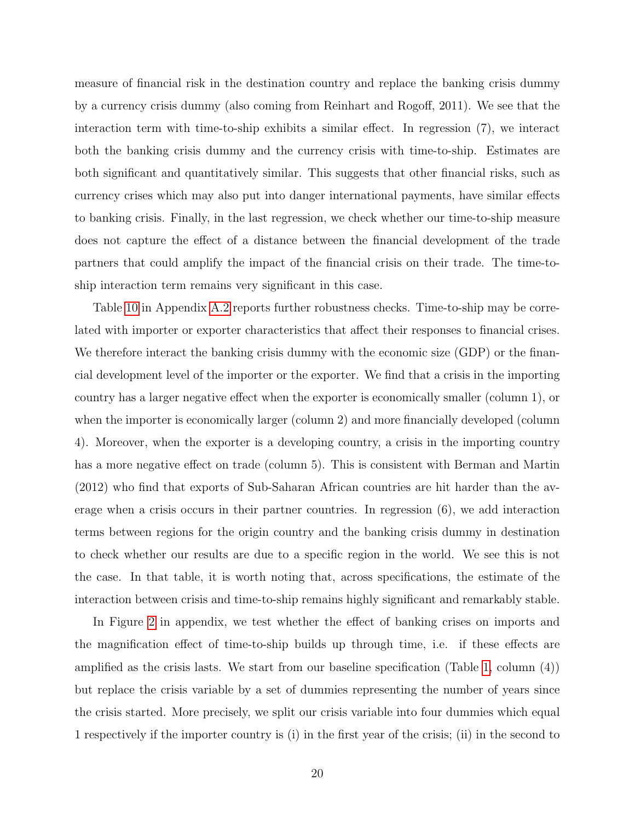measure of financial risk in the destination country and replace the banking crisis dummy by a currency crisis dummy (also coming from Reinhart and Rogoff, 2011). We see that the interaction term with time-to-ship exhibits a similar effect. In regression (7), we interact both the banking crisis dummy and the currency crisis with time-to-ship. Estimates are both significant and quantitatively similar. This suggests that other financial risks, such as currency crises which may also put into danger international payments, have similar effects to banking crisis. Finally, in the last regression, we check whether our time-to-ship measure does not capture the effect of a distance between the financial development of the trade partners that could amplify the impact of the financial crisis on their trade. The time-toship interaction term remains very significant in this case.

Table 10 in Appendix A.2 reports further robustness checks. Time-to-ship may be correlated with importer or exporter characteristics that affect their responses to financial crises. We therefore interact the banking crisis dummy with the economic size (GDP) or the financial development level of the importer or the exporter. We find that a crisis in the importing country has a larger negative effect when the exporter is economically smaller (column 1), or when the importer is economically larger (column 2) and more financially developed (column 4). Moreover, when the exporter is a developing country, a crisis in the importing country has a more negative effect on trade (column 5). This is consistent with Berman and Martin (2012) who find that exports of Sub-Saharan African countries are hit harder than the average when a crisis occurs in their partner countries. In regression (6), we add interaction terms between regions for the origin country and the banking crisis dummy in destination to check whether our results are due to a specific region in the world. We see this is not the case. In that table, it is worth noting that, across specifications, the estimate of the interaction between crisis and time-to-ship remains highly significant and remarkably stable.

In Figure 2 in appendix, we test whether the effect of banking crises on imports and the magnification effect of time-to-ship builds up through time, i.e. if these effects are amplified as the crisis lasts. We start from our baseline specification (Table 1, column (4)) but replace the crisis variable by a set of dummies representing the number of years since the crisis started. More precisely, we split our crisis variable into four dummies which equal 1 respectively if the importer country is (i) in the first year of the crisis; (ii) in the second to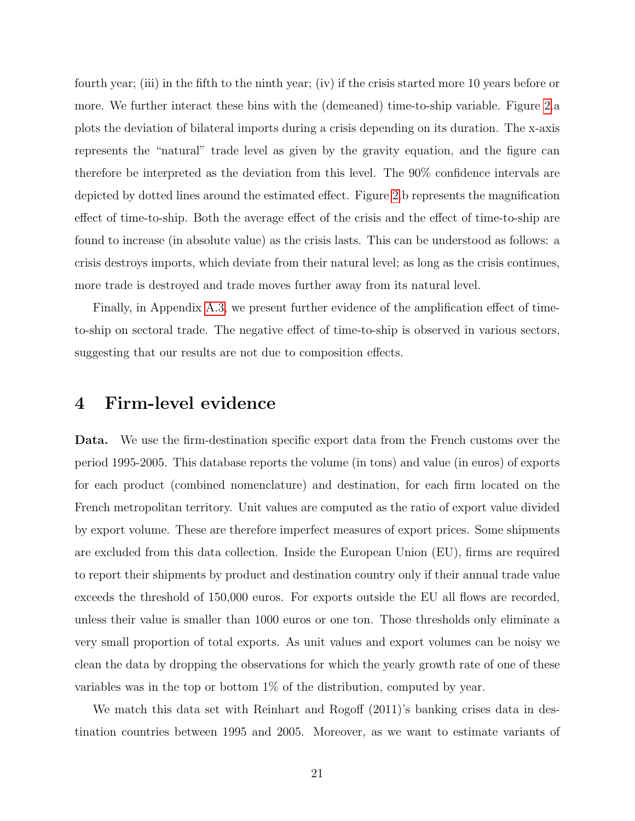fourth year; (iii) in the fifth to the ninth year; (iv) if the crisis started more 10 years before or more. We further interact these bins with the (demeaned) time-to-ship variable. Figure 2.a plots the deviation of bilateral imports during a crisis depending on its duration. The x-axis represents the "natural" trade level as given by the gravity equation, and the figure can therefore be interpreted as the deviation from this level. The 90% confidence intervals are depicted by dotted lines around the estimated effect. Figure 2.b represents the magnification effect of time-to-ship. Both the average effect of the crisis and the effect of time-to-ship are found to increase (in absolute value) as the crisis lasts. This can be understood as follows: a crisis destroys imports, which deviate from their natural level; as long as the crisis continues, more trade is destroyed and trade moves further away from its natural level.

Finally, in Appendix A.3, we present further evidence of the amplification effect of timeto-ship on sectoral trade. The negative effect of time-to-ship is observed in various sectors, suggesting that our results are not due to composition effects.

#### 4 Firm-level evidence

Data. We use the firm-destination specific export data from the French customs over the period 1995-2005. This database reports the volume (in tons) and value (in euros) of exports for each product (combined nomenclature) and destination, for each firm located on the French metropolitan territory. Unit values are computed as the ratio of export value divided by export volume. These are therefore imperfect measures of export prices. Some shipments are excluded from this data collection. Inside the European Union (EU), firms are required to report their shipments by product and destination country only if their annual trade value exceeds the threshold of 150,000 euros. For exports outside the EU all flows are recorded, unless their value is smaller than 1000 euros or one ton. Those thresholds only eliminate a very small proportion of total exports. As unit values and export volumes can be noisy we clean the data by dropping the observations for which the yearly growth rate of one of these variables was in the top or bottom 1% of the distribution, computed by year.

We match this data set with Reinhart and Rogoff (2011)'s banking crises data in destination countries between 1995 and 2005. Moreover, as we want to estimate variants of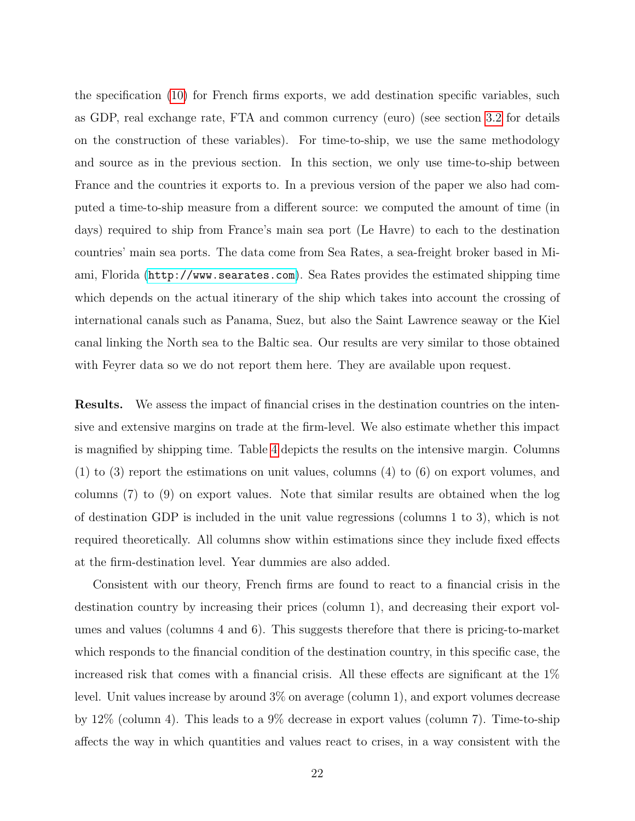the specification (10) for French firms exports, we add destination specific variables, such as GDP, real exchange rate, FTA and common currency (euro) (see section 3.2 for details on the construction of these variables). For time-to-ship, we use the same methodology and source as in the previous section. In this section, we only use time-to-ship between France and the countries it exports to. In a previous version of the paper we also had computed a time-to-ship measure from a different source: we computed the amount of time (in days) required to ship from France's main sea port (Le Havre) to each to the destination countries' main sea ports. The data come from Sea Rates, a sea-freight broker based in Miami, Florida (<http://www.searates.com>). Sea Rates provides the estimated shipping time which depends on the actual itinerary of the ship which takes into account the crossing of international canals such as Panama, Suez, but also the Saint Lawrence seaway or the Kiel canal linking the North sea to the Baltic sea. Our results are very similar to those obtained with Feyrer data so we do not report them here. They are available upon request.

Results. We assess the impact of financial crises in the destination countries on the intensive and extensive margins on trade at the firm-level. We also estimate whether this impact is magnified by shipping time. Table 4 depicts the results on the intensive margin. Columns (1) to (3) report the estimations on unit values, columns (4) to (6) on export volumes, and columns (7) to (9) on export values. Note that similar results are obtained when the log of destination GDP is included in the unit value regressions (columns 1 to 3), which is not required theoretically. All columns show within estimations since they include fixed effects at the firm-destination level. Year dummies are also added.

Consistent with our theory, French firms are found to react to a financial crisis in the destination country by increasing their prices (column 1), and decreasing their export volumes and values (columns 4 and 6). This suggests therefore that there is pricing-to-market which responds to the financial condition of the destination country, in this specific case, the increased risk that comes with a financial crisis. All these effects are significant at the 1% level. Unit values increase by around 3% on average (column 1), and export volumes decrease by 12% (column 4). This leads to a 9% decrease in export values (column 7). Time-to-ship affects the way in which quantities and values react to crises, in a way consistent with the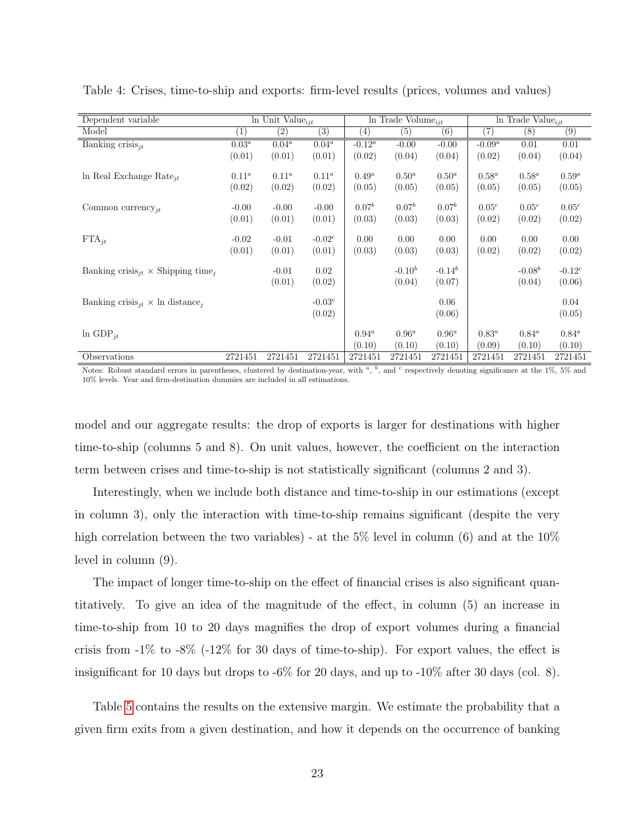| Dependent variable                                               |          | $\overline{\ln \text{Unit Value}_{ijt}}$ |           |                   | In Trade Volume <sub>iit</sub> |             |                   | In Trade Value <sub>ijt</sub> |                   |
|------------------------------------------------------------------|----------|------------------------------------------|-----------|-------------------|--------------------------------|-------------|-------------------|-------------------------------|-------------------|
| Model                                                            | (1)      | $\left( 2\right)$                        | (3)       | $\left( 4\right)$ | (5)                            | (6)         | (7)               | (8)                           | (9)               |
| Banking crisis $_{it}$                                           | $0.03^a$ | $0.04^a$                                 | $0.04^a$  | $-0.12^a$         | $-0.00$                        | $-0.00$     | $-0.09^a$         | 0.01                          | 0.01              |
|                                                                  | (0.01)   | (0.01)                                   | (0.01)    | (0.02)            | (0.04)                         | (0.04)      | (0.02)            | (0.04)                        | (0.04)            |
|                                                                  |          |                                          |           |                   |                                |             |                   |                               |                   |
| In Real Exchange Rate <sub>it</sub>                              | $0.11^a$ | $0.11^a$                                 | $0.11^a$  | $0.49^a$          | $0.50^{a}$                     | $0.50^{a}$  | $0.58^a$          | $0.58^a$                      | $0.59^a$          |
|                                                                  | (0.02)   | (0.02)                                   | (0.02)    | (0.05)            | (0.05)                         | (0.05)      | (0.05)            | (0.05)                        | (0.05)            |
| Common currency <sub>jt</sub>                                    | $-0.00$  | $-0.00$                                  | $-0.00$   | $0.07^b$          | $0.07^{b}$                     | $0.07^b$    | 0.05 <sup>c</sup> | 0.05 <sup>c</sup>             | 0.05 <sup>c</sup> |
|                                                                  | (0.01)   | (0.01)                                   | (0.01)    | (0.03)            | (0.03)                         | (0.03)      | (0.02)            | (0.02)                        | (0.02)            |
|                                                                  |          |                                          |           |                   |                                |             |                   |                               |                   |
| $\text{FTA}_{it}$                                                | $-0.02$  | $-0.01$                                  | $-0.02^c$ | 0.00              | 0.00                           | 0.00        | 0.00              | 0.00                          | 0.00              |
|                                                                  | (0.01)   | (0.01)                                   | (0.01)    | (0.03)            | (0.03)                         | (0.03)      | (0.02)            | (0.02)                        | (0.02)            |
| Banking crisis <sub>it</sub> $\times$ Shipping time <sub>i</sub> |          | $-0.01$                                  | 0.02      |                   | $-0.10^{b}$                    | $-0.14^{b}$ |                   | $-0.08b$                      | $-0.12^{c}$       |
|                                                                  |          | (0.01)                                   | (0.02)    |                   | (0.04)                         | (0.07)      |                   | (0.04)                        | (0.06)            |
|                                                                  |          |                                          |           |                   |                                |             |                   |                               |                   |
| Banking crisis <sub>it</sub> $\times$ ln distance <sub>i</sub>   |          |                                          | $-0.03c$  |                   |                                | 0.06        |                   |                               | 0.04              |
|                                                                  |          |                                          | (0.02)    |                   |                                | (0.06)      |                   |                               | (0.05)            |
|                                                                  |          |                                          |           |                   |                                |             |                   |                               |                   |
| $ln$ GDP <sub>it</sub>                                           |          |                                          |           | $0.94^a$          | $0.96^a$                       | $0.96^a$    | $0.83^a$          | $0.84^a$                      | $0.84^a$          |
|                                                                  |          |                                          |           | (0.10)            | (0.10)                         | (0.10)      | (0.09)            | (0.10)                        | (0.10)            |
| Observations                                                     | 2721451  | 2721451                                  | 2721451   | 2721451           | 2721451                        | 2721451     | 2721451           | 2721451                       | 2721451           |

Table 4: Crises, time-to-ship and exports: firm-level results (prices, volumes and values)

Notes: Robust standard errors in parentheses, clustered by destination-year, with  $a$ ,  $b$ , and  $c$  respectively denoting significance at the 1%, 5% and 10% levels. Year and firm-destination dummies are included in all estimations.

model and our aggregate results: the drop of exports is larger for destinations with higher time-to-ship (columns 5 and 8). On unit values, however, the coefficient on the interaction term between crises and time-to-ship is not statistically significant (columns 2 and 3).

Interestingly, when we include both distance and time-to-ship in our estimations (except in column 3), only the interaction with time-to-ship remains significant (despite the very high correlation between the two variables) - at the  $5\%$  level in column (6) and at the  $10\%$ level in column (9).

The impact of longer time-to-ship on the effect of financial crises is also significant quantitatively. To give an idea of the magnitude of the effect, in column (5) an increase in time-to-ship from 10 to 20 days magnifies the drop of export volumes during a financial crisis from  $-1\%$  to  $-8\%$   $(-12\%$  for 30 days of time-to-ship). For export values, the effect is insignificant for 10 days but drops to -6% for 20 days, and up to -10% after 30 days (col. 8).

Table 5 contains the results on the extensive margin. We estimate the probability that a given firm exits from a given destination, and how it depends on the occurrence of banking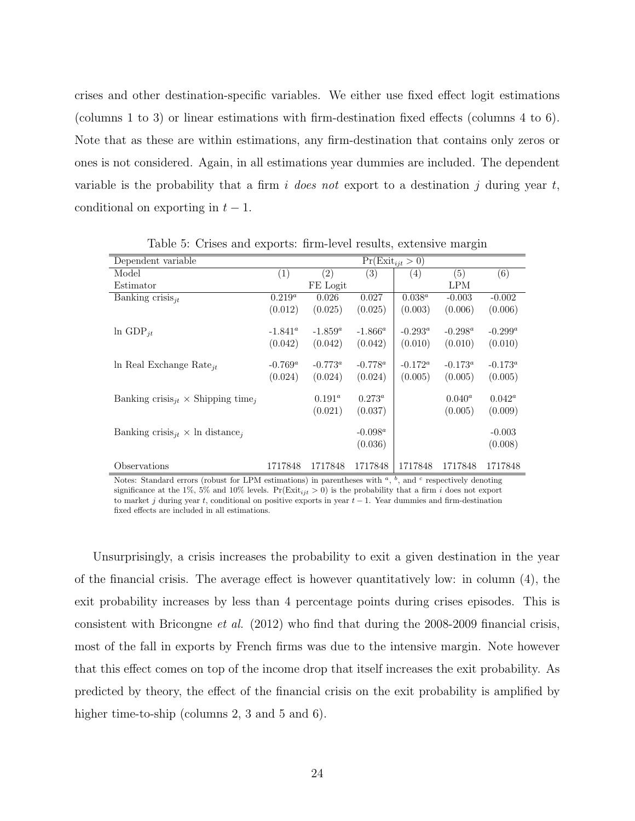crises and other destination-specific variables. We either use fixed effect logit estimations (columns 1 to 3) or linear estimations with firm-destination fixed effects (columns 4 to 6). Note that as these are within estimations, any firm-destination that contains only zeros or ones is not considered. Again, in all estimations year dummies are included. The dependent variable is the probability that a firm i does not export to a destination j during year t, conditional on exporting in  $t-1$ .

| Dependent variable                                               |            |                   | $Pr(Exit_{ijt} > 0)$ |            |            |            |
|------------------------------------------------------------------|------------|-------------------|----------------------|------------|------------|------------|
| Model                                                            | (1)        | $\left( 2\right)$ | (3)                  | (4)        | (5)        | (6)        |
| Estimator                                                        |            | FE Logit          |                      |            | <b>LPM</b> |            |
| Banking crisis $_{it}$                                           | $0.219^a$  | 0.026             | 0.027                | $0.038^a$  | $-0.003$   | $-0.002$   |
|                                                                  | (0.012)    | (0.025)           | (0.025)              | (0.003)    | (0.006)    | (0.006)    |
| $ln$ GDP <sub>it</sub>                                           | $-1.841^a$ | $-1.859^a$        | $-1.866^a$           | $-0.293^a$ | $-0.298^a$ | $-0.299^a$ |
|                                                                  | (0.042)    | (0.042)           | (0.042)              | (0.010)    | (0.010)    | (0.010)    |
| In Real Exchange Rate <sub>it</sub>                              | $-0.769^a$ | $-0.773^{\circ}$  | $-0.778^a$           | $-0.172^a$ | $-0.173^a$ | $-0.173^a$ |
|                                                                  | (0.024)    | (0.024)           | (0.024)              | (0.005)    | (0.005)    | (0.005)    |
| Banking crisis <sub>it</sub> $\times$ Shipping time <sub>i</sub> |            | $0.191^a$         | $0.273^a$            |            | $0.040^a$  | $0.042^a$  |
|                                                                  |            | (0.021)           | (0.037)              |            | (0.005)    | (0.009)    |
| Banking crisis <sub>it</sub> $\times$ ln distance <sub>i</sub>   |            |                   | $-0.098^a$           |            |            | $-0.003$   |
|                                                                  |            |                   | (0.036)              |            |            | (0.008)    |
| Observations                                                     | 1717848    | 1717848           | 1717848              | 1717848    | 1717848    | 1717848    |

Table 5: Crises and exports: firm-level results, extensive margin

Notes: Standard errors (robust for LPM estimations) in parentheses with  $a, b$ , and  $c$  respectively denoting significance at the 1%, 5% and 10% levels.  $Pr(Exit_{ijt} > 0)$  is the probability that a firm *i* does not export to market j during year t, conditional on positive exports in year  $t - 1$ . Year dummies and firm-destination fixed effects are included in all estimations.

Unsurprisingly, a crisis increases the probability to exit a given destination in the year of the financial crisis. The average effect is however quantitatively low: in column (4), the exit probability increases by less than 4 percentage points during crises episodes. This is consistent with Bricongne *et al.* (2012) who find that during the 2008-2009 financial crisis, most of the fall in exports by French firms was due to the intensive margin. Note however that this effect comes on top of the income drop that itself increases the exit probability. As predicted by theory, the effect of the financial crisis on the exit probability is amplified by higher time-to-ship (columns 2, 3 and 5 and 6).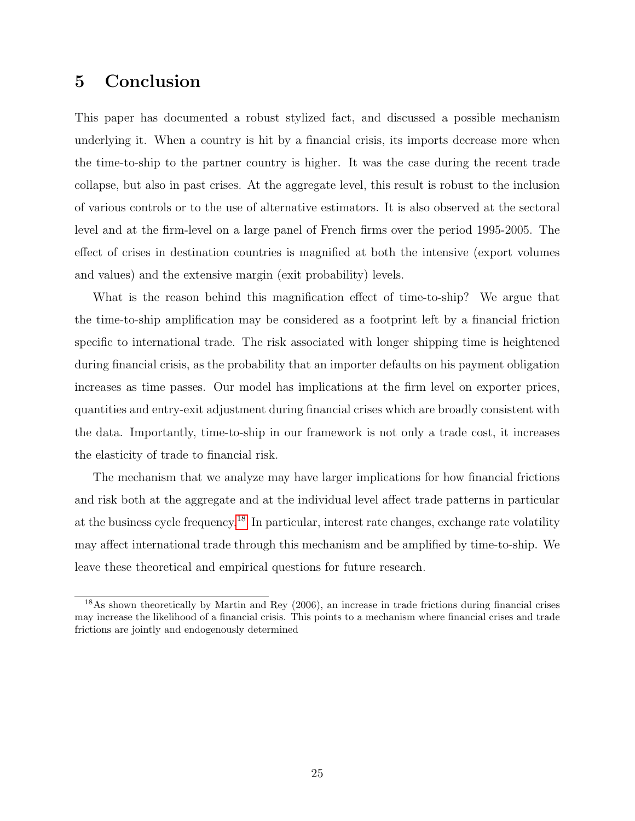### 5 Conclusion

This paper has documented a robust stylized fact, and discussed a possible mechanism underlying it. When a country is hit by a financial crisis, its imports decrease more when the time-to-ship to the partner country is higher. It was the case during the recent trade collapse, but also in past crises. At the aggregate level, this result is robust to the inclusion of various controls or to the use of alternative estimators. It is also observed at the sectoral level and at the firm-level on a large panel of French firms over the period 1995-2005. The effect of crises in destination countries is magnified at both the intensive (export volumes and values) and the extensive margin (exit probability) levels.

What is the reason behind this magnification effect of time-to-ship? We argue that the time-to-ship amplification may be considered as a footprint left by a financial friction specific to international trade. The risk associated with longer shipping time is heightened during financial crisis, as the probability that an importer defaults on his payment obligation increases as time passes. Our model has implications at the firm level on exporter prices, quantities and entry-exit adjustment during financial crises which are broadly consistent with the data. Importantly, time-to-ship in our framework is not only a trade cost, it increases the elasticity of trade to financial risk.

The mechanism that we analyze may have larger implications for how financial frictions and risk both at the aggregate and at the individual level affect trade patterns in particular at the business cycle frequency.18 In particular, interest rate changes, exchange rate volatility may affect international trade through this mechanism and be amplified by time-to-ship. We leave these theoretical and empirical questions for future research.

<sup>18</sup>As shown theoretically by Martin and Rey (2006), an increase in trade frictions during financial crises may increase the likelihood of a financial crisis. This points to a mechanism where financial crises and trade frictions are jointly and endogenously determined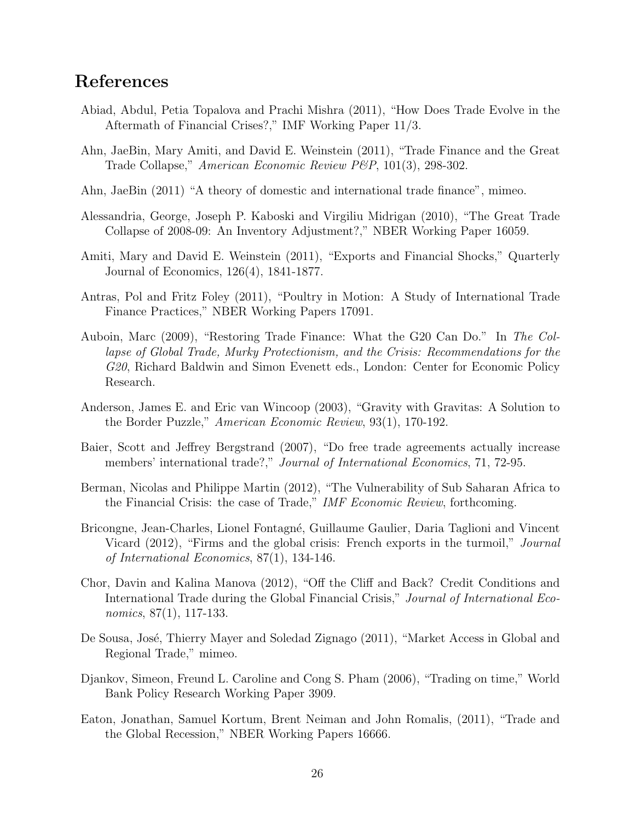## References

- Abiad, Abdul, Petia Topalova and Prachi Mishra (2011), "How Does Trade Evolve in the Aftermath of Financial Crises?," IMF Working Paper 11/3.
- Ahn, JaeBin, Mary Amiti, and David E. Weinstein (2011), "Trade Finance and the Great Trade Collapse," American Economic Review P&P, 101(3), 298-302.
- Ahn, JaeBin (2011) "A theory of domestic and international trade finance", mimeo.
- Alessandria, George, Joseph P. Kaboski and Virgiliu Midrigan (2010), "The Great Trade Collapse of 2008-09: An Inventory Adjustment?," NBER Working Paper 16059.
- Amiti, Mary and David E. Weinstein (2011), "Exports and Financial Shocks," Quarterly Journal of Economics, 126(4), 1841-1877.
- Antras, Pol and Fritz Foley (2011), "Poultry in Motion: A Study of International Trade Finance Practices," NBER Working Papers 17091.
- Auboin, Marc (2009), "Restoring Trade Finance: What the G20 Can Do." In The Collapse of Global Trade, Murky Protectionism, and the Crisis: Recommendations for the G20, Richard Baldwin and Simon Evenett eds., London: Center for Economic Policy Research.
- Anderson, James E. and Eric van Wincoop (2003), "Gravity with Gravitas: A Solution to the Border Puzzle," American Economic Review, 93(1), 170-192.
- Baier, Scott and Jeffrey Bergstrand (2007), "Do free trade agreements actually increase members' international trade?," Journal of International Economics, 71, 72-95.
- Berman, Nicolas and Philippe Martin (2012), "The Vulnerability of Sub Saharan Africa to the Financial Crisis: the case of Trade," IMF Economic Review, forthcoming.
- Bricongne, Jean-Charles, Lionel Fontagné, Guillaume Gaulier, Daria Taglioni and Vincent Vicard (2012), "Firms and the global crisis: French exports in the turmoil," *Journal* of International Economics, 87(1), 134-146.
- Chor, Davin and Kalina Manova (2012), "Off the Cliff and Back? Credit Conditions and International Trade during the Global Financial Crisis," Journal of International Economics, 87(1), 117-133.
- De Sousa, José, Thierry Mayer and Soledad Zignago (2011), "Market Access in Global and Regional Trade," mimeo.
- Djankov, Simeon, Freund L. Caroline and Cong S. Pham (2006), "Trading on time," World Bank Policy Research Working Paper 3909.
- Eaton, Jonathan, Samuel Kortum, Brent Neiman and John Romalis, (2011), "Trade and the Global Recession," NBER Working Papers 16666.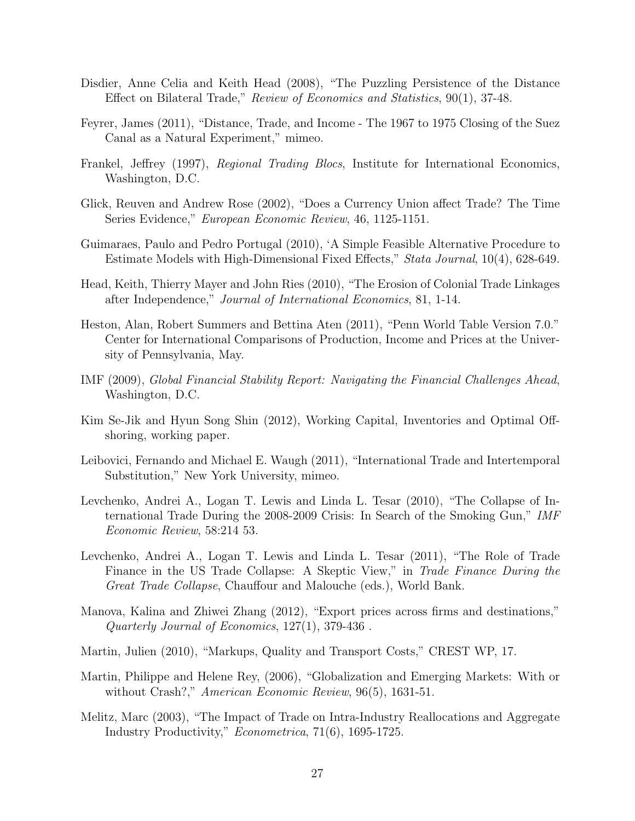- Disdier, Anne Celia and Keith Head (2008), "The Puzzling Persistence of the Distance Effect on Bilateral Trade," Review of Economics and Statistics, 90(1), 37-48.
- Feyrer, James (2011), "Distance, Trade, and Income The 1967 to 1975 Closing of the Suez Canal as a Natural Experiment," mimeo.
- Frankel, Jeffrey (1997), Regional Trading Blocs, Institute for International Economics, Washington, D.C.
- Glick, Reuven and Andrew Rose (2002), "Does a Currency Union affect Trade? The Time Series Evidence," European Economic Review, 46, 1125-1151.
- Guimaraes, Paulo and Pedro Portugal (2010), 'A Simple Feasible Alternative Procedure to Estimate Models with High-Dimensional Fixed Effects," Stata Journal, 10(4), 628-649.
- Head, Keith, Thierry Mayer and John Ries (2010), "The Erosion of Colonial Trade Linkages after Independence," Journal of International Economics, 81, 1-14.
- Heston, Alan, Robert Summers and Bettina Aten (2011), "Penn World Table Version 7.0." Center for International Comparisons of Production, Income and Prices at the University of Pennsylvania, May.
- IMF (2009), Global Financial Stability Report: Navigating the Financial Challenges Ahead, Washington, D.C.
- Kim Se-Jik and Hyun Song Shin (2012), Working Capital, Inventories and Optimal Offshoring, working paper.
- Leibovici, Fernando and Michael E. Waugh (2011), "International Trade and Intertemporal Substitution," New York University, mimeo.
- Levchenko, Andrei A., Logan T. Lewis and Linda L. Tesar (2010), "The Collapse of International Trade During the 2008-2009 Crisis: In Search of the Smoking Gun," IMF Economic Review, 58:214 53.
- Levchenko, Andrei A., Logan T. Lewis and Linda L. Tesar (2011), "The Role of Trade Finance in the US Trade Collapse: A Skeptic View," in Trade Finance During the Great Trade Collapse, Chauffour and Malouche (eds.), World Bank.
- Manova, Kalina and Zhiwei Zhang (2012), "Export prices across firms and destinations," Quarterly Journal of Economics, 127(1), 379-436 .
- Martin, Julien (2010), "Markups, Quality and Transport Costs," CREST WP, 17.
- Martin, Philippe and Helene Rey, (2006), "Globalization and Emerging Markets: With or without Crash?," American Economic Review, 96(5), 1631-51.
- Melitz, Marc (2003), "The Impact of Trade on Intra-Industry Reallocations and Aggregate Industry Productivity," Econometrica, 71(6), 1695-1725.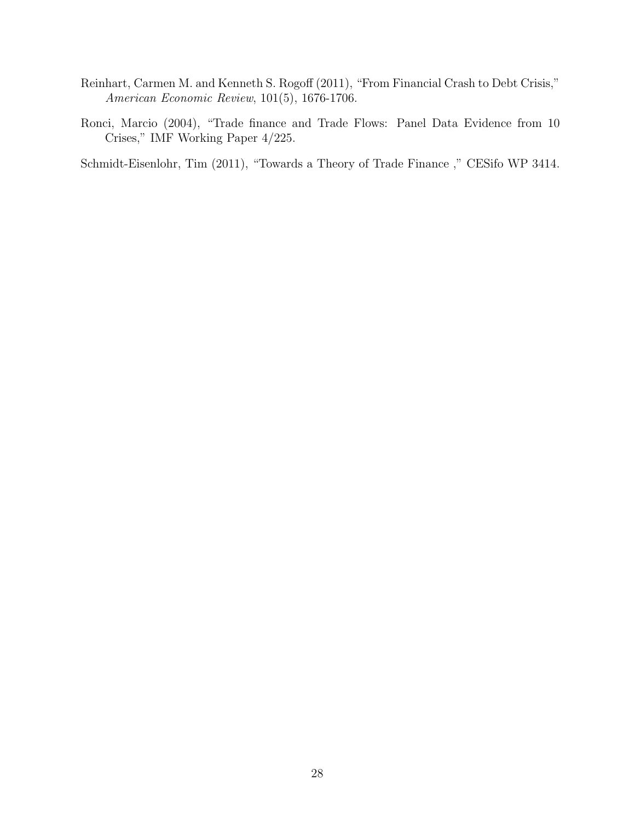- Reinhart, Carmen M. and Kenneth S. Rogoff (2011), "From Financial Crash to Debt Crisis," American Economic Review, 101(5), 1676-1706.
- Ronci, Marcio (2004), "Trade finance and Trade Flows: Panel Data Evidence from 10 Crises," IMF Working Paper 4/225.

Schmidt-Eisenlohr, Tim (2011), "Towards a Theory of Trade Finance ," CESifo WP 3414.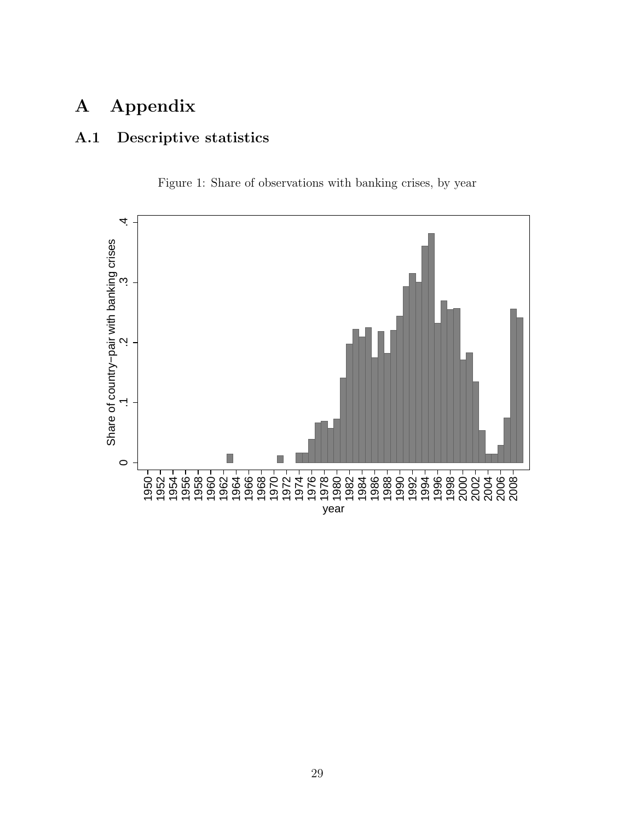## A Appendix

## A.1 Descriptive statistics



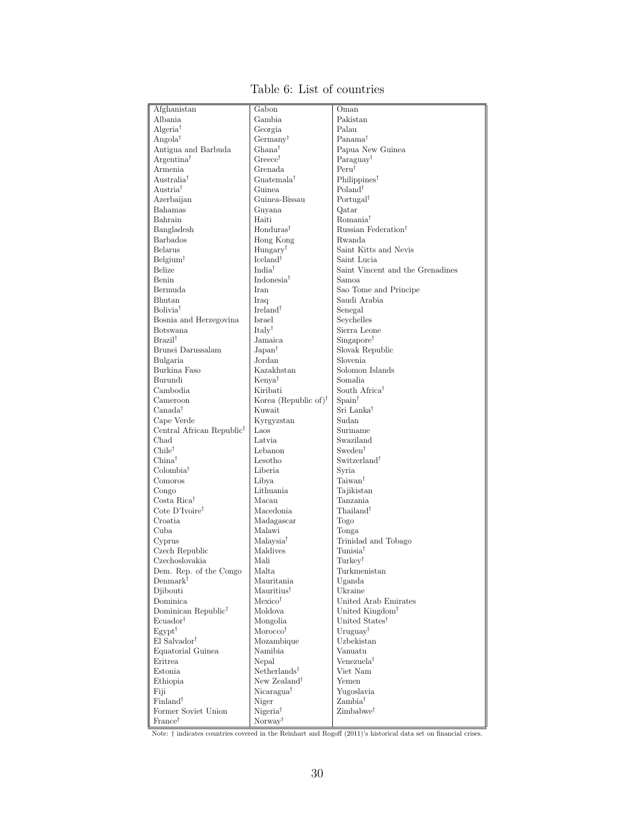| Afghanistan                           | Gabon                            | Oman<br>Pakistan                 |
|---------------------------------------|----------------------------------|----------------------------------|
| Albania                               | Gambia                           |                                  |
| Algeria <sup>†</sup>                  | Georgia                          | Palau                            |
| Angola <sup>†</sup>                   | $Germany^{\dagger}$              | Panama <sup>†</sup>              |
| Antigua and Barbuda                   | $Ghana^{\dagger}$                | Papua New Guinea                 |
| Argentina <sup>†</sup>                | $Greeze^{\dagger}$               | Paraguay <sup>†</sup>            |
| Armenia                               | Grenada                          | $Peru^{\dagger}$                 |
| Australia <sup>†</sup>                | $Guatemala^{\dagger}$            | Philippines <sup>†</sup>         |
| Austria <sup>†</sup>                  | Guinea                           | Poland <sup>†</sup>              |
| Azerbaijan                            | Guinea-Bissau                    | Portugal <sup>†</sup>            |
| Bahamas                               | Guyana                           | Qatar                            |
| Bahrain                               | Haiti                            | Romania <sup>†</sup>             |
| Bangladesh                            | Honduras <sup>†</sup>            | Russian Federation <sup>†</sup>  |
| <b>Barbados</b>                       | Hong Kong                        | Rwanda                           |
| Belarus                               | Hungary <sup>†</sup>             | Saint Kitts and Nevis            |
| $Belqium^{\dagger}$                   | $I$ celand <sup>†</sup>          | Saint Lucia                      |
| Belize                                | India <sup>†</sup>               | Saint Vincent and the Grenadines |
| Benin                                 | Indonesia <sup>†</sup>           | Samoa                            |
| Bermuda                               | Iran                             | Sao Tome and Principe            |
| Bhutan                                | Iraq                             | Saudi Arabia                     |
| Bolivia <sup>†</sup>                  | Ireland <sup>†</sup>             | Senegal                          |
|                                       | Israel                           | Seychelles                       |
| Bosnia and Herzegovina                |                                  |                                  |
| Botswana                              | $Italv^{\dagger}$                | Sierra Leone                     |
| Brazil <sup>†</sup>                   | Jamaica                          | Singapore <sup>†</sup>           |
| Brunei Darussalam                     | $Japan^{\dagger}$                | Slovak Republic                  |
| Bulgaria                              | Jordan                           | Slovenia                         |
| Burkina Faso                          | Kazakhstan                       | Solomon Islands                  |
| Burundi                               | Kenya <sup>†</sup>               | Somalia                          |
| Cambodia                              | Kiribati                         | South Africa <sup>†</sup>        |
| Cameroon                              | Korea (Republic of) <sup>†</sup> | $S_{\text{pain}}^{\dagger}$      |
| $Canada^{\dagger}$                    | Kuwait                           | Sri Lanka†                       |
| Cape Verde                            | Kyrgyzstan                       | Sudan                            |
| Central African Republic <sup>†</sup> | Laos                             | Suriname                         |
| Chad                                  | Latvia                           | Swaziland                        |
| $\text{Chile}^{\dagger}$              | Lebanon                          | Sweden <sup>†</sup>              |
| $China^{\dagger}$                     | Lesotho                          | Switzerland <sup>†</sup>         |
| Colombia <sup>†</sup>                 | Liberia                          | Syria                            |
| Comoros                               | Libya                            | Taiwan†                          |
| Congo                                 | Lithuania                        | Tajikistan                       |
| Costa Rica <sup>†</sup>               | Macau                            | Tanzania                         |
| Cote D'Ivoire <sup>†</sup>            | Macedonia                        | Thailand <sup>†</sup>            |
| Croatia                               | Madagascar                       | Togo                             |
| Cuba                                  | Malawi                           | Tonga                            |
| Cyprus                                | Malaysia <sup>†</sup>            | Trinidad and Tobago              |
| Czech Republic                        | Maldives                         | Tunisia†                         |
| Czechoslovakia                        | Mali                             | Turkey <sup>†</sup>              |
| Dem. Rep. of the Congo                | Malta                            | Turkmenistan                     |
| $Demmark^{\dagger}$                   | Mauritania                       | Uganda                           |
| Djibouti                              | Mauritius <sup>†</sup>           | Ukraine                          |
| Dominica                              | $Mexico^{\dagger}$               | United Arab Emirates             |
| Dominican Republic <sup>†</sup>       | Moldova                          | United Kingdom <sup>†</sup>      |
| Ecuador <sup>†</sup>                  | Mongolia                         | United States <sup>†</sup>       |
| $E$ gypt <sup>†</sup>                 | Morocco <sup>†</sup>             | Uruguay <sup>†</sup>             |
|                                       |                                  |                                  |
| El Salvador <sup>†</sup>              | Mozambique                       | Uzbekistan                       |
| Equatorial Guinea                     | Namibia                          | Vanuatu                          |
| Eritrea                               | Nepal                            | Venezuela <sup>†</sup>           |
| Estonia                               | $Netherlands^{\dagger}$          | Viet Nam                         |
| Ethiopia                              | New Zealand <sup>†</sup>         | Yemen                            |
| Fiji                                  | $Nicaragua^{\dagger}$            | Yugoslavia                       |
| Finland <sup>†</sup>                  | Niger                            | Zambia <sup>†</sup>              |
| Former Soviet Union                   | Nigeria <sup>†</sup>             | $\rm Zimbabwe^{\dagger}$         |
| France <sup>†</sup>                   | $\text{Norway}^{\dagger}$        |                                  |

#### Table 6: List of countries

Note:  $\dagger$  indicates countries covered in the Reinhart and Rogoff (2011)'s historical data set on financial crises.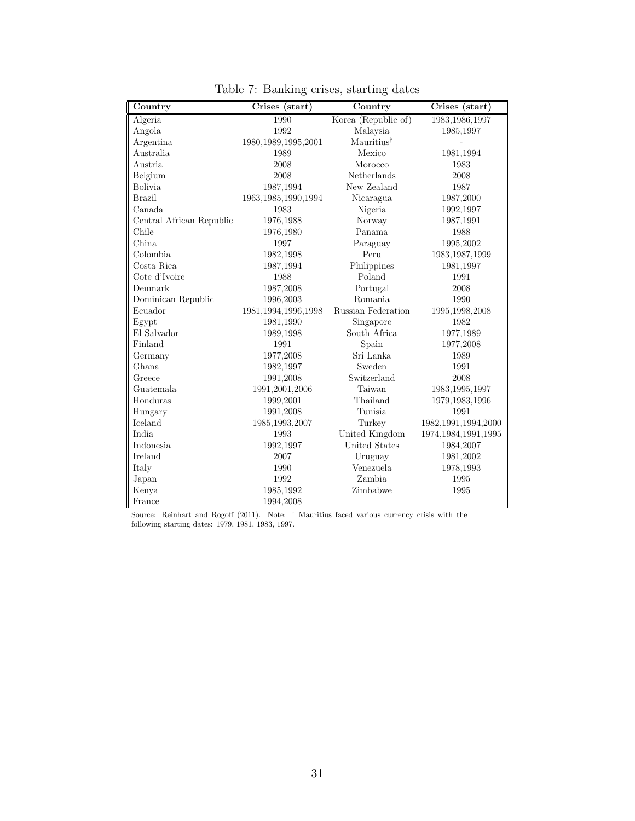| Country                  | Crises (start)         | Country                | Crises (start)         |
|--------------------------|------------------------|------------------------|------------------------|
| Algeria                  | 1990                   | Korea (Republic of)    | 1983, 1986, 1997       |
| Angola                   | 1992                   | Malaysia               | 1985,1997              |
| Argentina                | 1980, 1989, 1995, 2001 | Mauritius <sup>†</sup> |                        |
| Australia                | 1989                   | Mexico                 | 1981,1994              |
| Austria                  | 2008                   | Morocco                | 1983                   |
| Belgium                  | 2008                   | Netherlands            | 2008                   |
| <b>Bolivia</b>           | 1987,1994              | New Zealand            | 1987                   |
| <b>Brazil</b>            | 1963, 1985, 1990, 1994 | Nicaragua              | 1987,2000              |
| Canada                   | 1983                   | Nigeria                | 1992,1997              |
| Central African Republic | 1976,1988              | Norway                 | 1987,1991              |
| Chile                    | 1976,1980              | Panama                 | 1988                   |
| China                    | 1997                   | Paraguay               | 1995,2002              |
| Colombia                 | 1982,1998              | Peru                   | 1983, 1987, 1999       |
| Costa Rica               | 1987,1994              | Philippines            | 1981,1997              |
| Cote d'Ivoire            | 1988                   | Poland                 | 1991                   |
| Denmark                  | 1987,2008              | Portugal               | 2008                   |
| Dominican Republic       | 1996,2003              | Romania                | 1990                   |
| Ecuador                  | 1981, 1994, 1996, 1998 | Russian Federation     | 1995,1998,2008         |
| Egypt                    | 1981,1990              | Singapore              | 1982                   |
| El Salvador              | 1989,1998              | South Africa           | 1977,1989              |
| Finland                  | 1991                   | Spain                  | 1977,2008              |
| Germany                  | 1977,2008              | Sri Lanka              | 1989                   |
| Ghana                    | 1982,1997              | Sweden                 | 1991                   |
| Greece                   | 1991,2008              | Switzerland            | 2008                   |
| Guatemala                | 1991,2001,2006         | Taiwan                 | 1983, 1995, 1997       |
| Honduras                 | 1999,2001              | Thailand               | 1979, 1983, 1996       |
| Hungary                  | 1991,2008              | Tunisia                | 1991                   |
| Iceland                  | 1985,1993,2007         | Turkey                 | 1982, 1991, 1994, 2000 |
| India                    | 1993                   | United Kingdom         | 1974, 1984, 1991, 1995 |
| Indonesia                | 1992,1997              | <b>United States</b>   | 1984,2007              |
| Ireland                  | 2007                   | Uruguay                | 1981,2002              |
| Italy                    | 1990                   | Venezuela              | 1978,1993              |
| Japan                    | 1992                   | Zambia                 | 1995                   |
| Kenya                    | 1985,1992              | Zimbabwe               | 1995                   |
| France                   | 1994,2008              |                        |                        |

Table 7: Banking crises, starting dates

Source: Reinhart and Rogoff (2011). Note: <sup>†</sup> Mauritius faced various currency crisis with the following starting dates: 1979, 1981, 1983, 1997.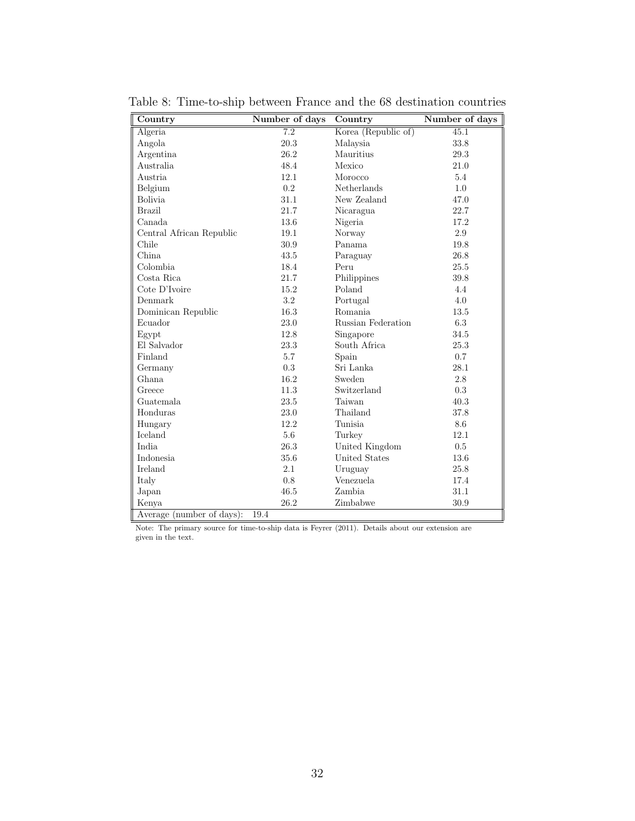| Country                   | Number of days | $\overline{\text{Country}}$ | Number of days |
|---------------------------|----------------|-----------------------------|----------------|
| Algeria                   | 7.2            | Korea (Republic of)         | 45.1           |
| Angola                    | 20.3           | Malaysia                    | 33.8           |
| Argentina                 | 26.2           | Mauritius                   | $29.3\,$       |
| Australia                 | 48.4           | Mexico                      | 21.0           |
| <b>Austria</b>            | 12.1           | Morocco                     | 5.4            |
| Belgium                   | 0.2            | <b>Netherlands</b>          | 1.0            |
| <b>Bolivia</b>            | 31.1           | New Zealand                 | 47.0           |
| <b>Brazil</b>             | 21.7           | Nicaragua                   | 22.7           |
| Canada                    | 13.6           | Nigeria                     | 17.2           |
| Central African Republic  | 19.1           | Norway                      | 2.9            |
| Chile                     | 30.9           | Panama                      | 19.8           |
| China.                    | 43.5           | Paraguay                    | 26.8           |
| Colombia.                 | 18.4           | Peru                        | 25.5           |
| Costa Rica                | 21.7           | Philippines                 | 39.8           |
| Cote D'Ivoire             | 15.2           | Poland                      | 4.4            |
| Denmark                   | 3.2            | Portugal                    | 4.0            |
| Dominican Republic        | 16.3           | Romania                     | 13.5           |
| Ecuador                   | 23.0           | Russian Federation          | 6.3            |
| Egypt                     | 12.8           | Singapore                   | 34.5           |
| El Salvador               | 23.3           | South Africa                | 25.3           |
| Finland                   | 5.7            | Spain                       | 0.7            |
| Germany                   | 0.3            | Sri Lanka                   | 28.1           |
| Ghana                     | 16.2           | Sweden                      | 2.8            |
| Greece                    | 11.3           | Switzerland                 | 0.3            |
| Guatemala                 | 23.5           | Taiwan                      | 40.3           |
| Honduras                  | 23.0           | Thailand                    | 37.8           |
| Hungary                   | 12.2           | Tunisia                     | 8.6            |
| Iceland                   | 5.6            | Turkey                      | 12.1           |
| India                     | 26.3           | United Kingdom              | 0.5            |
| Indonesia                 | 35.6           | <b>United States</b>        | 13.6           |
| <b>Ireland</b>            | 2.1            | Uruguay                     | 25.8           |
| Italy                     | 0.8            | Venezuela                   | 17.4           |
| Japan                     | 46.5           | Zambia                      | 31.1           |
| Kenya                     | 26.2           | Zimbabwe                    | 30.9           |
| Average (number of days): | 19.4           |                             |                |

Table 8: Time-to-ship between France and the 68 destination countries

Note: The primary source for time-to-ship data is Feyrer (2011). Details about our extension are given in the text.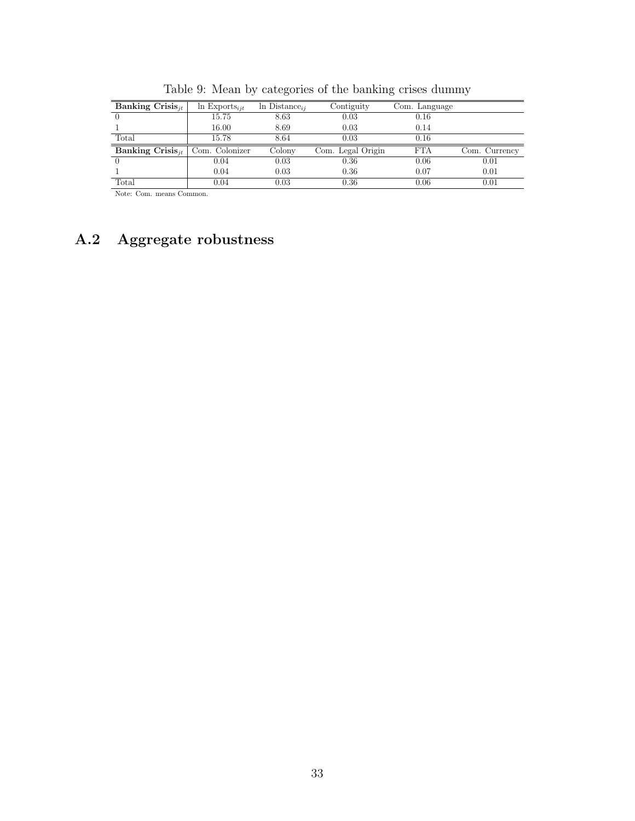| Banking Crisis <sub>it</sub>                         | $\ln$ Exports <sub>ijt</sub> | $\ln \text{Distance}_{ii}$ | Contiguity        | Com. Language |               |
|------------------------------------------------------|------------------------------|----------------------------|-------------------|---------------|---------------|
|                                                      | 15.75                        | 8.63                       | 0.03              | 0.16          |               |
|                                                      | 16.00                        | 8.69                       | 0.03              | 0.14          |               |
| Total                                                | 15.78                        | 8.64                       | 0.03              | 0.16          |               |
| <b>Banking Crisis</b> <sub>it</sub>   Com. Colonizer |                              | Colony                     | Com. Legal Origin | <b>FTA</b>    | Com. Currency |
|                                                      | 0.04                         | 0.03                       | 0.36              | 0.06          | 0.01          |
|                                                      | 0.04                         | 0.03                       | 0.36              | 0.07          | 0.01          |
| Total                                                | 0.04                         | 0.03                       | 0.36              | 0.06          | 0.01          |

Table 9: Mean by categories of the banking crises dummy

Note: Com. means Common.

## A.2 Aggregate robustness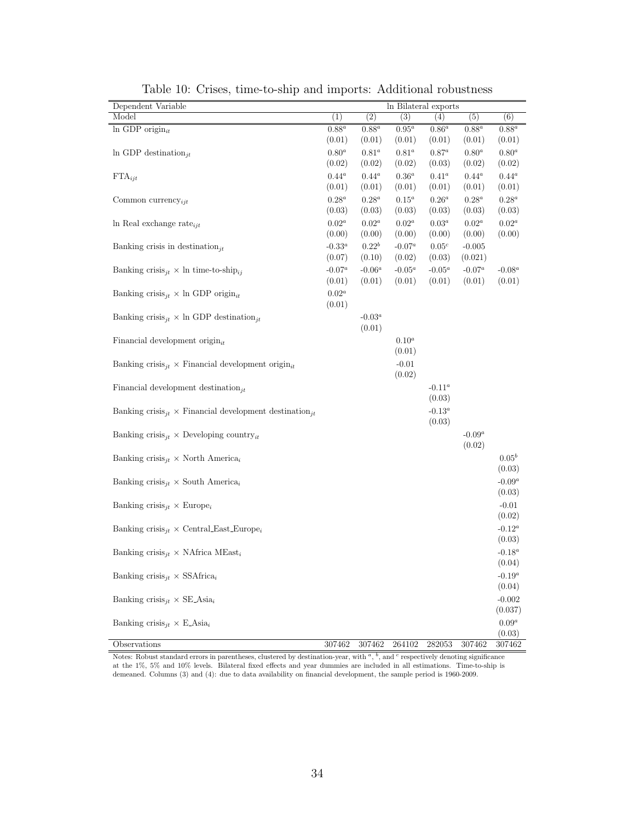| Dependent Variable                                                                    |                    |                    | In Bilateral exports |                     |                    |                    |
|---------------------------------------------------------------------------------------|--------------------|--------------------|----------------------|---------------------|--------------------|--------------------|
| Model                                                                                 | (1)                | (2)                | (3)                  | (4)                 | (5)                | $\overline{(6)}$   |
| In GDP origin $_{it}$                                                                 | $0.88^a$           | $0.88^a$           | $0.95^a$             | $0.86^a$            | $0.88^a$           | $0.88^a$           |
|                                                                                       | (0.01)             | (0.01)             | (0.01)               | (0.01)              | (0.01)             | (0.01)             |
| In GDP destination <sub>jt</sub>                                                      | $0.80^a$           | $0.81^a$           | $0.81^a$             | $0.87^a$            | $0.80^a$           | $0.80^a$           |
|                                                                                       | (0.02)             | (0.02)             | (0.02)               | (0.03)              | (0.02)             | (0.02)             |
| $\text{FTA}_{ijt}$                                                                    | $0.44^a$           | $0.44^a$           | $0.36^a$             | $0.41^a$            | $0.44^a$           | $0.44^a$           |
|                                                                                       | (0.01)             | (0.01)             | (0.01)               | (0.01)              | (0.01)             | (0.01)             |
| Common currency <sub>ijt</sub>                                                        | $0.28^a$<br>(0.03) | $0.28^a$<br>(0.03) | $0.15^a\,$<br>(0.03) | $0.26^a$<br>(0.03)  | $0.28^a$<br>(0.03) | $0.28^a$<br>(0.03) |
|                                                                                       | $0.02^a$           | $0.02^a$           | $0.02^a$             | $0.03^a$            | $0.02^a$           | $0.02^a$           |
| In Real exchange rate $_{ijt}$                                                        | (0.00)             | (0.00)             | (0.00)               | (0.00)              | (0.00)             | (0.00)             |
| Banking crisis in destination <sub>jt</sub>                                           | $-0.33^a$          | $0.22^b$           | $\text{-}0.07^a$     | 0.05 <sup>c</sup>   | $-0.005$           |                    |
|                                                                                       | (0.07)             | (0.10)             | (0.02)               | (0.03)              | (0.021)            |                    |
| Banking crisis <sub>jt</sub> $\times$ ln time-to-ship <sub>ij</sub>                   | $-0.07^a$          | $-0.06^a$          | $-0.05^a$            | $-0.05^a$           | $-0.07^a$          | $-0.08^a$          |
|                                                                                       | (0.01)             | (0.01)             | (0.01)               | (0.01)              | (0.01)             | (0.01)             |
| Banking crisis <sub>jt</sub> $\times$ ln GDP origin <sub>it</sub>                     | $0.02^a$           |                    |                      |                     |                    |                    |
|                                                                                       | (0.01)             |                    |                      |                     |                    |                    |
| Banking crisis <sub>jt</sub> $\times$ ln GDP destination <sub>jt</sub>                |                    | $-0.03^a$          |                      |                     |                    |                    |
|                                                                                       |                    | (0.01)             |                      |                     |                    |                    |
| Financial development origin $_{it}$                                                  |                    |                    | $0.10^a$             |                     |                    |                    |
|                                                                                       |                    |                    | (0.01)               |                     |                    |                    |
| Banking crisis <sub>jt</sub> $\times$ Financial development origin <sub>it</sub>      |                    |                    | $-0.01$              |                     |                    |                    |
|                                                                                       |                    |                    | (0.02)               |                     |                    |                    |
| Financial development destination $_{it}$                                             |                    |                    |                      | $-0.11^a$           |                    |                    |
|                                                                                       |                    |                    |                      | (0.03)              |                    |                    |
| Banking crisis <sub>jt</sub> $\times$ Financial development destination <sub>jt</sub> |                    |                    |                      | $-0.13^a$<br>(0.03) |                    |                    |
| Banking crisis <sub>jt</sub> $\times$ Developing country <sub>it</sub>                |                    |                    |                      |                     | $-0.09^a$          |                    |
|                                                                                       |                    |                    |                      |                     | (0.02)             |                    |
| Banking crisis <sub>jt</sub> $\times$ North America <sub>i</sub>                      |                    |                    |                      |                     |                    | $0.05^{b}$         |
|                                                                                       |                    |                    |                      |                     |                    | (0.03)             |
| Banking crisis <sub>jt</sub> $\times$ South America <sub>i</sub>                      |                    |                    |                      |                     |                    | $-0.09^a$          |
|                                                                                       |                    |                    |                      |                     |                    | (0.03)             |
| Banking crisis <sub>jt</sub> $\times$ Europe <sub>i</sub>                             |                    |                    |                      |                     |                    | $-0.01$            |
|                                                                                       |                    |                    |                      |                     |                    | (0.02)             |
| Banking $\text{crisis}_{jt} \times \text{Central\_East\_Europe}_i$                    |                    |                    |                      |                     |                    | $-0.12^a$          |
|                                                                                       |                    |                    |                      |                     |                    | (0.03)             |
| Banking crisis <sub>jt</sub> $\times$ NAfrica MEast <sub>i</sub>                      |                    |                    |                      |                     |                    | $-0.18^a$          |
|                                                                                       |                    |                    |                      |                     |                    | (0.04)             |
| Banking crisis <sub>jt</sub> $\times$ SSAfrica <sub>i</sub>                           |                    |                    |                      |                     |                    | $-0.19^a$          |
|                                                                                       |                    |                    |                      |                     |                    | (0.04)             |
| Banking crisis <sub>jt</sub> $\times$ SE_Asia <sub>i</sub>                            |                    |                    |                      |                     |                    | $-0.002$           |
|                                                                                       |                    |                    |                      |                     |                    | (0.037)            |
| Banking crisis <sub>jt</sub> $\times$ E_Asia <sub>i</sub>                             |                    |                    |                      |                     |                    | $0.09^a$<br>(0.03) |
| Observations                                                                          | 307462             | 307462             | 264102               | 282053              | 307462             | 307462             |

Table 10: Crises, time-to-ship and imports: Additional robustness

Notes: Robust standard errors in parentheses, clustered by destination-year, with  $a, b$ , and  $c$  respectively denoting significance at the 1%, 5% and 10% levels. Bilateral fixed effects and year dummies are included in all estimations. Time-to-ship is demeaned. Columns (3) and (4): due to data availability on financial development, the sample period is 1960-2009.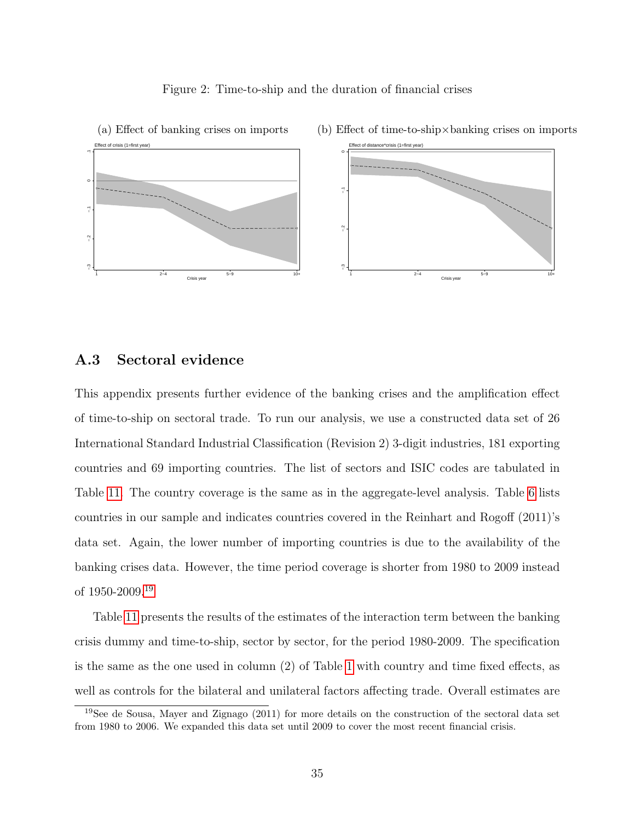



(a) Effect of banking crises on imports (b) Effect of time-to-ship×banking crises on imports

#### A.3 Sectoral evidence

This appendix presents further evidence of the banking crises and the amplification effect of time-to-ship on sectoral trade. To run our analysis, we use a constructed data set of 26 International Standard Industrial Classification (Revision 2) 3-digit industries, 181 exporting countries and 69 importing countries. The list of sectors and ISIC codes are tabulated in Table 11. The country coverage is the same as in the aggregate-level analysis. Table 6 lists countries in our sample and indicates countries covered in the Reinhart and Rogoff (2011)'s data set. Again, the lower number of importing countries is due to the availability of the banking crises data. However, the time period coverage is shorter from 1980 to 2009 instead of 1950-2009.19

Table 11 presents the results of the estimates of the interaction term between the banking crisis dummy and time-to-ship, sector by sector, for the period 1980-2009. The specification is the same as the one used in column (2) of Table 1 with country and time fixed effects, as well as controls for the bilateral and unilateral factors affecting trade. Overall estimates are

<sup>19</sup>See de Sousa, Mayer and Zignago (2011) for more details on the construction of the sectoral data set from 1980 to 2006. We expanded this data set until 2009 to cover the most recent financial crisis.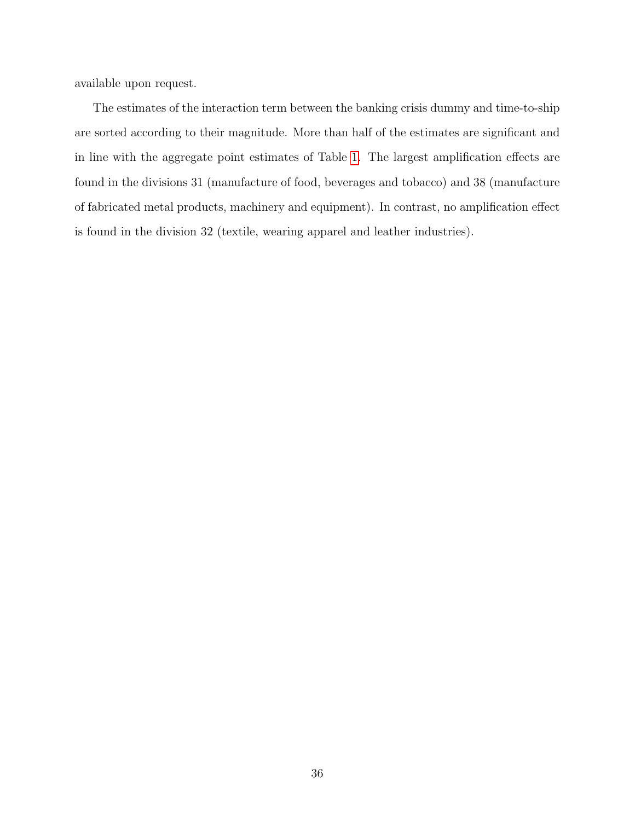available upon request.

The estimates of the interaction term between the banking crisis dummy and time-to-ship are sorted according to their magnitude. More than half of the estimates are significant and in line with the aggregate point estimates of Table 1. The largest amplification effects are found in the divisions 31 (manufacture of food, beverages and tobacco) and 38 (manufacture of fabricated metal products, machinery and equipment). In contrast, no amplification effect is found in the division 32 (textile, wearing apparel and leather industries).